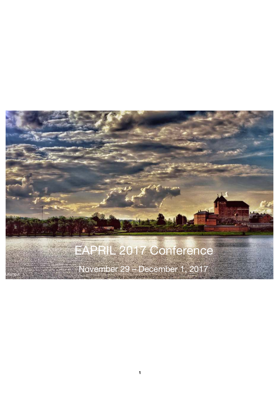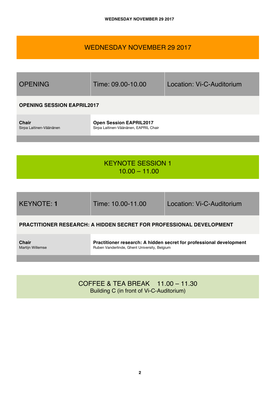# WEDNESDAY NOVEMBER 29 2017



# KEYNOTE SESSION 1  $10.00 - 11.00$

| <b>KEYNOTE: 1</b> |  |
|-------------------|--|
|                   |  |

Time: 10.00-11.00 Location: Vi-C-Auditorium

# **PRACTITIONER RESEARCH: A HIDDEN SECRET FOR PROFESSIONAL DEVELOPMENT**

**Chair** Martijn Willemse **Practitioner research: A hidden secret for professional development** Ruben Vanderlinde, Ghent University, Belgium

COFFEE & TEA BREAK 11.00 – 11.30 Building C (in front of Vi-C-Auditorium)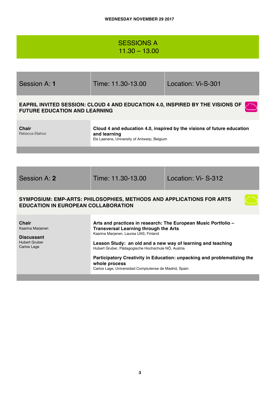| <b>SESSIONS A</b> |  |  |
|-------------------|--|--|
| $11.30 - 13.00$   |  |  |

| Session A: 1                                                                                                       | Time: 11.30-13.00                                                                                                                                       | Location: Vi-S-301                                                                   |  |
|--------------------------------------------------------------------------------------------------------------------|---------------------------------------------------------------------------------------------------------------------------------------------------------|--------------------------------------------------------------------------------------|--|
| <b>FUTURE EDUCATION AND LEARNING</b>                                                                               |                                                                                                                                                         | <b>EAPRIL INVITED SESSION: CLOUD 4 AND EDUCATION 4.0, INSPIRED BY THE VISIONS OF</b> |  |
| <b>Chair</b><br>Rebecca Eliahoo                                                                                    | Cloud 4 and education 4.0, inspired by the visions of future education<br>and learning<br>Els Laenens, University of Antwerp, Belgium                   |                                                                                      |  |
|                                                                                                                    |                                                                                                                                                         |                                                                                      |  |
|                                                                                                                    |                                                                                                                                                         |                                                                                      |  |
| Session A: 2                                                                                                       | Time: 11.30-13.00                                                                                                                                       | Location: Vi-S-312                                                                   |  |
| SYMPOSIUM: EMP-ARTS: PHILOSOPHIES, METHODS AND APPLICATIONS FOR ARTS<br><b>EDUCATION IN EUROPEAN COLLABORATION</b> |                                                                                                                                                         |                                                                                      |  |
| Chair<br>Kaarina Marjanen<br><b>Discussant</b>                                                                     | Arts and practices in research: The European Music Portfolio -<br><b>Transversal Learning through the Arts</b><br>Kaarina Marjanen, Laurea UAS, Finland |                                                                                      |  |
| <b>Hubert Gruber</b><br>Carlos Lage                                                                                | Lesson Study: an old and a new way of learning and teaching<br>Hubert Gruber, Pädagogische Hochschule NÖ, Austria                                       |                                                                                      |  |
|                                                                                                                    | Participatory Creativity in Education: unpacking and problematizing the<br>whole process<br>Carlos Lage, Universidad Complutense de Madrid, Spain       |                                                                                      |  |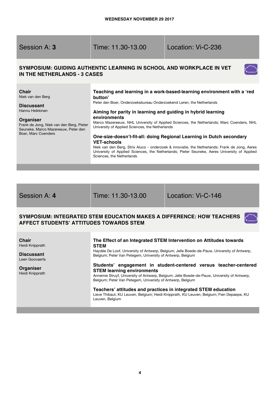| Session A: 3                                                                                                                                                                                     | Time: 11.30-13.00                                                                                                                                                                                                                        | Location: Vi-C-236                                                                                                                                                                                                                                                                                                                                                                                                                          |
|--------------------------------------------------------------------------------------------------------------------------------------------------------------------------------------------------|------------------------------------------------------------------------------------------------------------------------------------------------------------------------------------------------------------------------------------------|---------------------------------------------------------------------------------------------------------------------------------------------------------------------------------------------------------------------------------------------------------------------------------------------------------------------------------------------------------------------------------------------------------------------------------------------|
| IN THE NETHERLANDS - 3 CASES                                                                                                                                                                     | SYMPOSIUM: GUIDING AUTHENTIC LEARNING IN SCHOOL AND WORKPLACE IN VET                                                                                                                                                                     |                                                                                                                                                                                                                                                                                                                                                                                                                                             |
| <b>Chair</b><br>Niek van den Berg<br><b>Discussant</b><br>Hannu Heikkinen<br>Organiser<br>Frank de Jong, Niek van den Berg, Pieter<br>Seuneke, Marco Mazereeuw, Peter den<br>Boer, Marc Coenders | button'<br>Peter den Boer, Onderzoeksbureau Onderzoekend Leren, the Netherlands<br>Aiming for parity in learning and guiding in hybrid learning<br>environments<br>University of Applied Sciences, the Netherlands<br><b>VET-schools</b> | Teaching and learning in a work-based-learning environment with a 'red<br>Marco Mazereeuw, NHL University of Applied Sciences, the Netherlands; Marc Coenders, NHL<br>One-size-doesn't-fit-all: doing Regional Learning in Dutch secondary<br>Niek van den Berg, Strix Aluco - onderzoek & innovatie, the Netherlands; Frank de Jong, Aeres<br>University of Applied Sciences, the Netherlands; Pieter Seuneke, Aeres University of Applied |

Session A: **4** Time: 11.30-13.00 Location: Vi-C-146

Sciences, the Netherlands

 $\epsilon^{-}$ 

### **SYMPOSIUM: INTEGRATED STEM EDUCATION MAKES A DIFFERENCE: HOW TEACHERS AFFECT STUDENTS' ATTITUDES TOWARDS STEM**

**Chair**  Heidi Knipprath

**Discussant** Leen Goovaerts

**Organiser** Heidi Knipprath

#### **The Effect of an Integrated STEM Intervention on Attitudes towards STEM**

Haydée De Loof, University of Antwerp, Belgium; Jelle Boede-de-Pauw, University of Antwerp, Belgium; Peter Van Petegem, University of Antwerp, Belgium

#### **Students' engagement in student-centered versus teacher-centered STEM learning environments**

Annemie Struyf, University of Antwerp, Belgium; Jelle Boede-de-Pauw, University of Antwerp, Belgium; Peter Van Petegem, University of Antwerp, Belgium

#### **Teachers' attitudes and practices in integrated STEM education** Lieve Thibaut, KU Leuven, Belgium; Heidi Knipprath, KU Leuven, Belgium; Fien Depaepe, KU Leuven, Belgium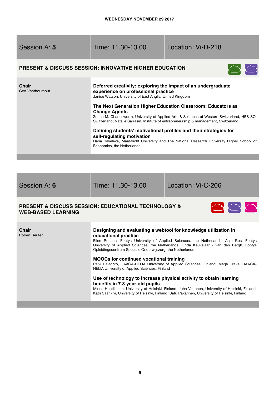| Session A: 5               | Time: 11.30-13.00                                                                                                                                                                                                                                                                                                                                                                                                                                                                                                                                                                                                                                                                    | Location: Vi-D-218 |
|----------------------------|--------------------------------------------------------------------------------------------------------------------------------------------------------------------------------------------------------------------------------------------------------------------------------------------------------------------------------------------------------------------------------------------------------------------------------------------------------------------------------------------------------------------------------------------------------------------------------------------------------------------------------------------------------------------------------------|--------------------|
|                            | <b>PRESENT &amp; DISCUSS SESSION: INNOVATIVE HIGHER EDUCATION</b>                                                                                                                                                                                                                                                                                                                                                                                                                                                                                                                                                                                                                    |                    |
| Chair<br>Gert Vanthournout | Deferred creativity: exploring the impact of an undergraduate<br>experience on professional practice<br>Janice Watson, University of East Anglia, United Kingdom<br>The Next Generation Higher Education Classroom: Educators as<br><b>Change Agents</b><br>Zarina M. Charlesworth, University of Applied Arts & Sciences of Western Switzerland, HES-SO,<br>Switzerland; Natalie Sarrasin, Institute of entrepreneurship & management, Switzerland<br>Defining students' motivational profiles and their strategies for<br>self-regulating motivation<br>Daria Saveleva, Maastricht University and The National Research University Higher School of<br>Economics, the Netherlands. |                    |
|                            |                                                                                                                                                                                                                                                                                                                                                                                                                                                                                                                                                                                                                                                                                      |                    |
|                            |                                                                                                                                                                                                                                                                                                                                                                                                                                                                                                                                                                                                                                                                                      |                    |
|                            |                                                                                                                                                                                                                                                                                                                                                                                                                                                                                                                                                                                                                                                                                      |                    |

Session A: **6** Time: 11.30-13.00 Location: Vi-C-206

# **PRESENT & DISCUSS SESSION: EDUCATIONAL TECHNOLOGY & WEB-BASED LEARNING**



| Chair         | Designing and evaluating a webtool for knowledge utilization in                                                                                                                                                                                 |
|---------------|-------------------------------------------------------------------------------------------------------------------------------------------------------------------------------------------------------------------------------------------------|
| Robert Reuter | educational practice                                                                                                                                                                                                                            |
|               | Ellen Rohaan, Fontys University of Applied Sciences, the Netherlands; Anje Ros, Fontys<br>University of Applied Sciences, the Netherlands; Linda Keuvelaar - van den Bergh, Fontys<br>Opleidingscentrum Speciale Onderwijszorg, the Netherlands |
|               | <b>MOOCs for continued vocational training</b><br>Päivi Rajaorko, HAAGA-HELIA University of Applied Sciences, Finland; Merja Drake, HAAGA-<br><b>HELIA University of Applied Sciences, Finland</b>                                              |
|               | Use of technology to increase physical activity to obtain learning<br>benefits in 7-8-year-old pupils                                                                                                                                           |

Minna Huotilainen, University of Helsinki, Finland; Juha Valtonen, University of Helsinki, Finland; Katri Saarikivi, University of Helsinki, Finland; Satu Pakarinen, University of Helsinki, Finland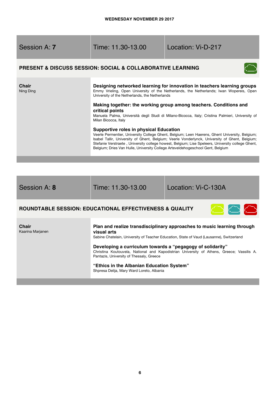| Session A: 7                                                              | Time: 11.30-13.00                                                                                                                                                                                                            | Location: Vi-D-217                                                                                                                                                                                                                                                                                                                                                                                                                                                                                                                                                                                                                                   |  |
|---------------------------------------------------------------------------|------------------------------------------------------------------------------------------------------------------------------------------------------------------------------------------------------------------------------|------------------------------------------------------------------------------------------------------------------------------------------------------------------------------------------------------------------------------------------------------------------------------------------------------------------------------------------------------------------------------------------------------------------------------------------------------------------------------------------------------------------------------------------------------------------------------------------------------------------------------------------------------|--|
| <b>PRESENT &amp; DISCUSS SESSION: SOCIAL &amp; COLLABORATIVE LEARNING</b> |                                                                                                                                                                                                                              |                                                                                                                                                                                                                                                                                                                                                                                                                                                                                                                                                                                                                                                      |  |
| Chair<br>Ning Ding                                                        | University of the Netherlands, the Netherlands<br>critical points<br>Milan Bicocca, Italy<br><b>Supportive roles in physical Education</b><br>Belgium; Dries Van Hulle, University College Arteveldehogeschool Gent, Belgium | Designing networked learning for innovation in teachers learning groups<br>Emmy Vrieling, Open University of the Netherlands, the Netherlands; Iwan Wopereis, Open<br>Making together: the working group among teachers. Conditions and<br>Manuela Palma, Università degli Studi di Milano-Bicocca, Italy; Cristina Palmieri, University of<br>Veerle Permentier, University College Ghent, Belgium; Leen Haerens, Ghent University, Belgium;<br>Isabel Tallir, University of Ghent, Belgium; Veerle Vonderlynck, University of Ghent, Belgium;<br>Stefanie Verstraete, University college howest, Belgium; Lise Speleers, University college Ghent, |  |
|                                                                           |                                                                                                                                                                                                                              |                                                                                                                                                                                                                                                                                                                                                                                                                                                                                                                                                                                                                                                      |  |

Session A: **8** Time: 11.30-13.00 Location: Vi-C-130A

# **ROUNDTABLE SESSION: EDUCATIONAL EFFECTIVENESS & QUALITY**



**Chair**  Kaarina Marjanen

### **Plan and realize transdisciplinary approaches to music learning through visual arts**

Sabine Chatelain, University of Teacher Education, State of Vaud (Lausanne), Switzerland

**Developing a curriculum towards a "pegagogy of solidarity"** Christina Koutouvela, National and Kapodistrian University of Athens, Greece; Vassilis A. Pantazis, University of Thessaly, Greece

#### **"Ethics in the Albanian Education System"** Shpresa Delija, Mary Ward Loreto, Albania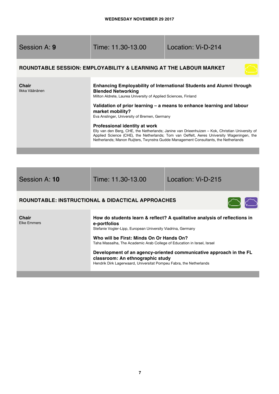| <b>Session A: 9</b>     | Time: 11.30-13.00                                                                                                                                                                                                                                                                                                                                                                                                                                                                                                                                                                                                                        | Location: Vi-D-214 |
|-------------------------|------------------------------------------------------------------------------------------------------------------------------------------------------------------------------------------------------------------------------------------------------------------------------------------------------------------------------------------------------------------------------------------------------------------------------------------------------------------------------------------------------------------------------------------------------------------------------------------------------------------------------------------|--------------------|
|                         | ROUNDTABLE SESSION: EMPLOYABILITY & LEARNING AT THE LABOUR MARKET                                                                                                                                                                                                                                                                                                                                                                                                                                                                                                                                                                        |                    |
| Chair<br>Ilkka Väänänen | Enhancing Employability of International Students and Alumni through<br><b>Blended Networking</b><br>Milton Aldrete, Laurea University of Applied Sciences, Finland<br>Validation of prior learning – a means to enhance learning and labour<br>market mobility?<br>Eva Anslinger, University of Bremen, Germany<br>Professional identity at work<br>Elly van den Berg, CHE, the Netherlands; Janine van Drieenhuizen – Kok, Christian University of<br>Applied Science (CHE), the Netherlands; Tom van Oeffelt, Aeres University Wageningen, the<br>Netherlands; Manon Ruijters, Twynstra Gudde Management Consultants, the Netherlands |                    |
|                         |                                                                                                                                                                                                                                                                                                                                                                                                                                                                                                                                                                                                                                          |                    |

Session A: **10** Time: 11.30-13.00 Location: Vi-D-215

# **ROUNDTABLE: INSTRUCTIONAL & DIDACTICAL APPROACHES**



| <b>Chair</b>       |   |
|--------------------|---|
| <b>Elke Emmers</b> | Ē |
|                    | ς |
|                    |   |
|                    |   |

### **How do students learn & reflect? A qualitative analysis of reflections in e-portfolios**

Stefanie Vogler-Lipp, European University Viadrina, Germany

**Who will be First: Minds On Or Hands On?**  Taha Massalha, The Academic Arab College of Education in Israel, Israel

**Development of an agency-oriented communicative approach in the FL classroom: An ethnographic study**  Hendrik Dirk Lagerwaard, Universitat Pompeu Fabra, the Netherlands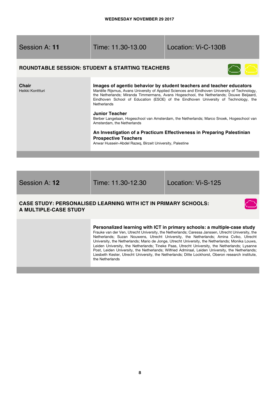| Session A: 11             | Time: 11.30-13.00                                                                                                                                                                                                                                                                                                                                                                                                                                                                                                                                                                                                                                                                        | Location: Vi-C-130B |
|---------------------------|------------------------------------------------------------------------------------------------------------------------------------------------------------------------------------------------------------------------------------------------------------------------------------------------------------------------------------------------------------------------------------------------------------------------------------------------------------------------------------------------------------------------------------------------------------------------------------------------------------------------------------------------------------------------------------------|---------------------|
|                           | <b>ROUNDTABLE SESSION: STUDENT &amp; STARTING TEACHERS</b>                                                                                                                                                                                                                                                                                                                                                                                                                                                                                                                                                                                                                               |                     |
| Chair<br>Heikki Konttturi | Images of agentic behavior by student teachers and teacher educators<br>Mariëlle Rijsmus, Avans University of Applied Sciences and Eindhoven University of Technology,<br>the Netherlands; Miranda Timmermans, Avans Hogeschool, the Netherlands; Douwe Beijaard,<br>Eindhoven School of Education (ESOE) of the Eindhoven University of Technology, the<br>Netherlands<br>Junior Teacher<br>Berber Langelaan, Hogeschool van Amsterdam, the Netherlands; Marco Snoek, Hogeschool van<br>Amsterdam, the Netherlands<br>An Investigation of a Practicum Effectiveness in Preparing Palestinian<br><b>Prospective Teachers</b><br>Anwar Hussein-Abdel Razeq, Birzeit University, Palestine |                     |
|                           |                                                                                                                                                                                                                                                                                                                                                                                                                                                                                                                                                                                                                                                                                          |                     |

Session A: **12** Time: 11.30-12.30 Location: Vi-S-125

 $\bigcirc$ 

# **CASE STUDY: PERSONALISED LEARNING WITH ICT IN PRIMARY SCHOOLS: A MULTIPLE-CASE STUDY**

### **Personalized learning with ICT in primary schools: a multiple-case study**

Frauke van der Ven, Utrecht University, the Netherlands; Caressa Janssen, Utrecht University, the Netherlands; Suzan Nouwens, Utrecht University, the Netherlands; Amina Cviko, Utrecht University, the Netherlands; Mario de Jonge, Utrecht University, the Netherlands; Monika Louws, Leiden University, the Netherlands; Tineke Paas, Utrecht University, the Netherlands; Lysanne Post, Leiden University, the Netherlands; Wilfried Admiraal, Leiden University, the Netherlands; Liesbeth Kester, Utrecht University, the Netherlands; Ditte Lockhorst, Oberon research institute, the Netherlands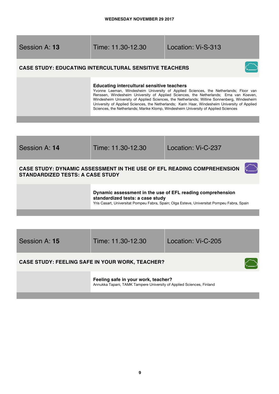| Session A: 13 |  |  |
|---------------|--|--|
|---------------|--|--|

Session A: **13** Time: 11.30-12.30 Location: Vi-S-313

# **CASE STUDY: EDUCATING INTERCULTURAL SENSITIVE TEACHERS**



#### **Educating intercultural sensitive teachers**

Yvonne Leeman, Windesheim University of Applied Sciences, the Netherlands; Floor van Renssen, Windesheim University of Applied Sciences, the Netherlands; Erna van Koeven, Windesheim University of Applied Sciences, the Netherlands; Willine Sonnenberg, Windesheim University of Applied Sciences, the Netherlands; Karin Haar, Windesheim University of Applied Sciences, the Netherlands; Marike Klomp, Windesheim University of Applied Sciences

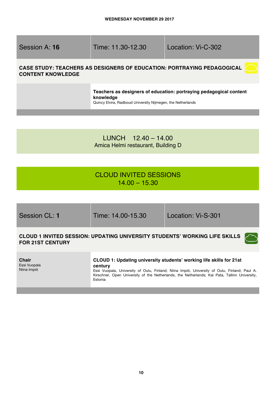Session A: **16** Time: 11.30-12.30 Location: Vi-C-302

# **CASE STUDY: TEACHERS AS DESIGNERS OF EDUCATION: PORTRAYING PEDAGOGICAL CONTENT KNOWLEDGE**

**Teachers as designers of education: portraying pedagogical content knowledge**

Quincy Elvira, Radboud University Nijmegen, the Netherlands

LUNCH 12.40 – 14.00 Amica Helmi restaurant, Building D

# CLOUD INVITED SESSIONS  $14.00 - 15.30$

| Session CL: 1                               | Time: 14.00-15.30  | Location: Vi-S-301                                                                                                                                                                                                                                                   |
|---------------------------------------------|--------------------|----------------------------------------------------------------------------------------------------------------------------------------------------------------------------------------------------------------------------------------------------------------------|
| <b>FOR 21ST CENTURY</b>                     |                    | CLOUD 1 INVITED SESSION: UPDATING UNIVERSITY STUDENTS' WORKING LIFE SKILLS                                                                                                                                                                                           |
| <b>Chair</b><br>Essi Vuopala<br>Niina Impiö | century<br>Estonia | CLOUD 1: Updating university students' working life skills for 21st<br>Essi Vuopala, University of Oulu, Finland; Niina Impiö, University of Oulu, Finland; Paul A.<br>Kirschner, Open University of the Netherlands, the Netherlands; Kai Pata, Tallinn University, |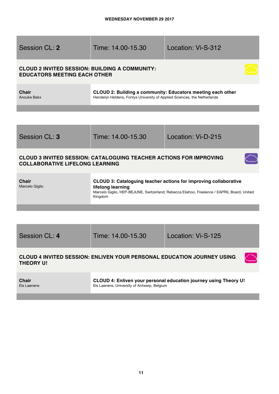| Session CL: 2                                                                                | Time: 14.00-15.30                                                                                                                        | Location: Vi-S-312                                                                                                                                             |  |  |
|----------------------------------------------------------------------------------------------|------------------------------------------------------------------------------------------------------------------------------------------|----------------------------------------------------------------------------------------------------------------------------------------------------------------|--|--|
| <b>CLOUD 2 INVITED SESSION: BUILDING A COMMUNITY:</b><br><b>EDUCATORS MEETING EACH OTHER</b> |                                                                                                                                          |                                                                                                                                                                |  |  |
| <b>Chair</b><br>Anouke Bakx                                                                  | CLOUD 2: Building a community: Educators meeting each other<br>Henderijn Heldens, Fontys University of Applied Sciences, the Netherlands |                                                                                                                                                                |  |  |
|                                                                                              |                                                                                                                                          |                                                                                                                                                                |  |  |
| Session CL: 3                                                                                | Time: 14.00-15.30                                                                                                                        | Location: Vi-D-215                                                                                                                                             |  |  |
| <b>COLLABORATIVE LIFELONG LEARNING</b>                                                       | <b>CLOUD 3 INVITED SESSION: CATALOGUING TEACHER ACTIONS FOR IMPROVING</b>                                                                |                                                                                                                                                                |  |  |
| <b>Chair</b><br>Marcelo Giglio                                                               | lifelong learning<br>Kingdom                                                                                                             | CLOUD 3: Cataloguing teacher actions for improving collaborative<br>Marcelo Giglio, HEP-BEJUNE, Switzerland; Rebecca Eliahoo, Freelance / EAPRIL Board, United |  |  |
|                                                                                              |                                                                                                                                          |                                                                                                                                                                |  |  |

Session CL: **4** Time: 14.00-15.30 Location: Vi-S-125

 $\curvearrowleft$ 

# **CLOUD 4 INVITED SESSION: ENLIVEN YOUR PERSONAL EDUCATION JOURNEY USING THEORY U!**

**Chair** Els Laenens **CLOUD 4: Enliven your personal education journey using Theory U!**  Els Laenens, University of Antwerp, Belgium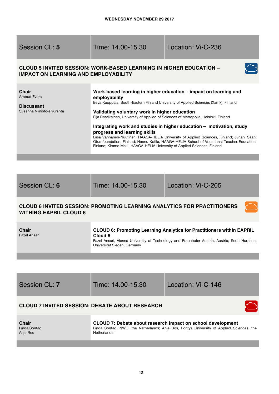| Session CL: 5                                                                   | Time: 14.00-15.30                                                                                                                                                                                                                                                  | Location: Vi-C-236                                                                                                                                                                                                                                                                                                                                                                                                            |
|---------------------------------------------------------------------------------|--------------------------------------------------------------------------------------------------------------------------------------------------------------------------------------------------------------------------------------------------------------------|-------------------------------------------------------------------------------------------------------------------------------------------------------------------------------------------------------------------------------------------------------------------------------------------------------------------------------------------------------------------------------------------------------------------------------|
| <b>IMPACT ON LEARNING AND EMPLOYABILITY</b>                                     | <b>CLOUD 5 INVITED SESSION: WORK-BASED LEARNING IN HIGHER EDUCATION -</b>                                                                                                                                                                                          |                                                                                                                                                                                                                                                                                                                                                                                                                               |
| Chair<br><b>Arnoud Evers</b><br><b>Discussant</b><br>Susanna Niinisto-sivuranta | employability<br>Validating voluntary work in higher education<br>Eija Raatikainen, University of Applied of Sciences of Metropolia, Helsinki, Finland<br>progress and learning skills<br>Finland; Kimmo Maki, HAAGA-HELIA University of Applied Sciences, Finland | Work-based learning in higher education – impact on learning and<br>Eeva Kuoppala, South-Eastern Finland University of Applied Sciences (Xamk), Finland<br>Integrating work and studies in higher education - motivation, study<br>Liisa Vanhanen-Nuutinen, HAAGA-HELIA University of Applied Sciences, Finland; Juhani Saari,<br>Otus foundation, Finland; Hannu Kotila, HAAGA-HELIA School of Vocational Teacher Education, |

| Session CL: 6                       | Time: 14.00-15.30                                                              | Location: Vi-C-205                                                                                                                                                             |
|-------------------------------------|--------------------------------------------------------------------------------|--------------------------------------------------------------------------------------------------------------------------------------------------------------------------------|
| <b>WITHING EAPRIL CLOUD 6</b>       | <b>CLOUD 6 INVITED SESSION: PROMOTING LEARNING ANALYTICS FOR PRACTITIONERS</b> |                                                                                                                                                                                |
| <b>Chair</b><br><b>Fazel Ansari</b> | Cloud 6<br>Universität Siegen, Germany                                         | <b>CLOUD 6: Promoting Learning Analytics for Practitioners within EAPRIL</b><br>Fazel Ansari, Vienna University of Technology and Fraunhofer Austria, Austria; Scott Harrison, |
|                                     |                                                                                |                                                                                                                                                                                |
|                                     |                                                                                |                                                                                                                                                                                |
| Session CL: 7                       | Time: 14.00-15.30                                                              | Location: Vi-C-146                                                                                                                                                             |

# **CLOUD 7 INVITED SESSION: DEBATE ABOUT RESEARCH**

| <b>Chair</b> | CLOUD 7: Debate about research impact on school development                              |
|--------------|------------------------------------------------------------------------------------------|
|              |                                                                                          |
| Linda Sontag | Linda Sontag, NWO, the Netherlands; Anje Ros, Fontys University of Applied Sciences, the |
| Anie Ros     | <b>Netherlands</b>                                                                       |
|              |                                                                                          |

 $\bigcap$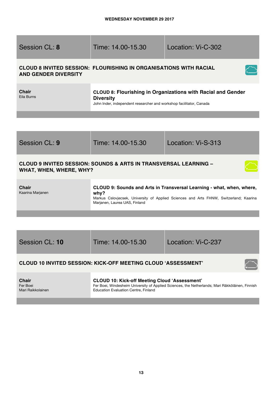| <b>Session CL: 8</b>                                                                                   | Time: 14.00-15.30                                                                                                                                                                                        | Location: Vi-C-302                                                                              |  |
|--------------------------------------------------------------------------------------------------------|----------------------------------------------------------------------------------------------------------------------------------------------------------------------------------------------------------|-------------------------------------------------------------------------------------------------|--|
| <b>AND GENDER DIVERSITY</b>                                                                            | <b>CLOUD 8 INVITED SESSION: FLOURISHING IN ORGANISATIONS WITH RACIAL</b>                                                                                                                                 |                                                                                                 |  |
| <b>Chair</b><br>Eila Burns                                                                             | CLOUD 8: Flourishing in Organizations with Racial and Gender<br><b>Diversity</b><br>John Inder, independent researcher and workshop facilitator, Canada                                                  |                                                                                                 |  |
|                                                                                                        |                                                                                                                                                                                                          |                                                                                                 |  |
|                                                                                                        |                                                                                                                                                                                                          |                                                                                                 |  |
| Session CL: 9                                                                                          | Time: 14.00-15.30                                                                                                                                                                                        | Location: Vi-S-313                                                                              |  |
| <b>CLOUD 9 INVITED SESSION: SOUNDS &amp; ARTS IN TRANSVERSAL LEARNING -</b><br>WHAT, WHEN, WHERE, WHY? |                                                                                                                                                                                                          |                                                                                                 |  |
| <b>Chair</b><br>Kaarina Marjanen                                                                       | CLOUD 9: Sounds and Arts in Transversal Learning - what, when, where,<br>why?<br>Markus Cslovjecsek, University of Applied Sciences and Arts FHNW, Switzerland; Kaarina<br>Marjanen, Laurea UAS, Finland |                                                                                                 |  |
|                                                                                                        |                                                                                                                                                                                                          |                                                                                                 |  |
|                                                                                                        |                                                                                                                                                                                                          |                                                                                                 |  |
| Session CL: 10                                                                                         | Time: 14.00-15.30                                                                                                                                                                                        | Location: Vi-C-237                                                                              |  |
|                                                                                                        | <b>CLOUD 10 INVITED SESSION: KICK-OFF MEETING CLOUD 'ASSESSMENT'</b>                                                                                                                                     |                                                                                                 |  |
| <b>Chair</b><br>Fer Boei<br>Mari Raikkolainen                                                          | <b>CLOUD 10: Kick-off Meeting Cloud 'Assessment'</b><br><b>Education Evaluation Centre, Finland</b>                                                                                                      | Fer Boei, Windesheim University of Applied Sciences, the Netherlands; Mari Räkköläinen, Finnish |  |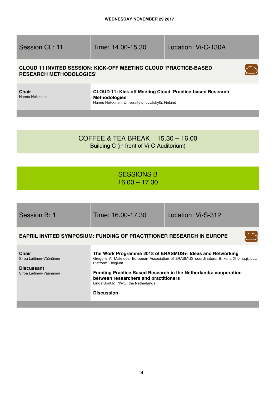| Session CL: 11 |  |  |
|----------------|--|--|
|                |  |  |

Time: 14.00-15.30 Location: Vi-C-130A

 $\overline{\mathcal{L}}$ 

# **CLOUD 11 INVITED SESSION: KICK-OFF MEETING CLOUD 'PRACTICE-BASED RESEARCH METHODOLOGIES'**

**Chair** Hannu Heikkinen

### **CLOUD 11: Kick-off Meeting Cloud 'Practice-based Research Methodologies'** Hannu Heikkinen, University of Jyväskylä, Finland

# COFFEE & TEA BREAK 15.30 – 16.00 Building C (in front of Vi-C-Auditorium)

# SESSIONS B 16.00 – 17.30

| Session B: 1                                                                     | Time: 16.00-17.30                                                                                                     | Location: Vi-S-312                                                                                                                                                                                                              |
|----------------------------------------------------------------------------------|-----------------------------------------------------------------------------------------------------------------------|---------------------------------------------------------------------------------------------------------------------------------------------------------------------------------------------------------------------------------|
|                                                                                  | <b>EAPRIL INVITED SYMPOSIUM: FUNDING OF PRACTITIONER RESEARCH IN EUROPE</b>                                           |                                                                                                                                                                                                                                 |
| Chair<br>Sirpa Laitinen-Väänänen<br><b>Discussant</b><br>Sirpa Laitinen-Väänänen | Platform, Belgium<br>between researchers and practitioners<br>Linda Sontag, NWO, the Netherlands<br><b>Discussion</b> | The Work Programme 2018 of ERASMUS+: Ideas and Networking<br>Gregoris A. Makrides, European Association of ERASMUS coordinators; Brikena Xhomagi, LLL<br><b>Funding Practice Based Research in the Netherlands: cooperation</b> |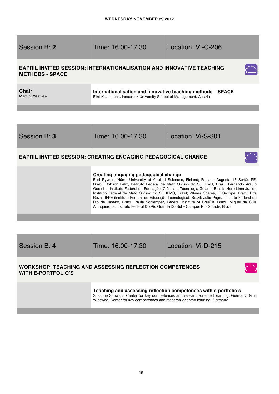| Session B: 2                                                                                                                                                                                                                                                                                                                                                                                                                                                                                                                                                                                                                                                                                                                    | Time: 16.00-17.30                                                                                                                   | Location: VI-C-206 |  |  |  |
|---------------------------------------------------------------------------------------------------------------------------------------------------------------------------------------------------------------------------------------------------------------------------------------------------------------------------------------------------------------------------------------------------------------------------------------------------------------------------------------------------------------------------------------------------------------------------------------------------------------------------------------------------------------------------------------------------------------------------------|-------------------------------------------------------------------------------------------------------------------------------------|--------------------|--|--|--|
| <b>METHODS - SPACE</b>                                                                                                                                                                                                                                                                                                                                                                                                                                                                                                                                                                                                                                                                                                          | <b>EAPRIL INVITED SESSION: INTERNATIONALISATION AND INNOVATIVE TEACHING</b>                                                         |                    |  |  |  |
| <b>Chair</b><br>Martijn Willemse                                                                                                                                                                                                                                                                                                                                                                                                                                                                                                                                                                                                                                                                                                | Internationalisation and innovative teaching methods - SPACE<br>Elke Kitzelmann, Innsbruck University School of Management, Austria |                    |  |  |  |
|                                                                                                                                                                                                                                                                                                                                                                                                                                                                                                                                                                                                                                                                                                                                 |                                                                                                                                     |                    |  |  |  |
| Session B: 3                                                                                                                                                                                                                                                                                                                                                                                                                                                                                                                                                                                                                                                                                                                    | Time: 16.00-17.30                                                                                                                   | Location: Vi-S-301 |  |  |  |
| <b>EAPRIL INVITED SESSION: CREATING ENGAGING PEDAGOGICAL CHANGE</b>                                                                                                                                                                                                                                                                                                                                                                                                                                                                                                                                                                                                                                                             |                                                                                                                                     |                    |  |  |  |
| Creating engaging pedagogical change<br>Essi Ryymin, Häme University of Applied Sciences, Finland; Fabiana Augusta, IF Sertão-PE,<br>Brazil; Robson Felix, Instituto Federal de Mato Grosso do Sul IFMS, Brazil; Fernando Araujo<br>Godinho, Instituto Federal de Educação, Ciência e Tecnologia Goiano, Brazil; Izidro Lima Junior,<br>Instituto Federal de Mato Grosso do Sul IFMS, Brazil; Wlamir Soares, IF Sergipe, Brazil; Rita<br>Rovai, IFPE (Instituto Federal de Educação Tecnológica), Brazil; Julio Page, Instituto Federal do<br>Rio de Janeiro, Brazil; Paula Schlemper, Federal Institute of Brasília, Brazil; Miguel da Guia<br>Albuquerque, Instituto Federal Do Rio Grande Do Sul - Campus Rio Grande, Brazil |                                                                                                                                     |                    |  |  |  |
|                                                                                                                                                                                                                                                                                                                                                                                                                                                                                                                                                                                                                                                                                                                                 |                                                                                                                                     |                    |  |  |  |
| Session B: 4                                                                                                                                                                                                                                                                                                                                                                                                                                                                                                                                                                                                                                                                                                                    | Time: 16.00-17.30                                                                                                                   | Location: Vi-D-215 |  |  |  |
| <b>WORKSHOP: TEACHING AND ASSESSING REFLECTION COMPETENCES</b><br><b>WITH E-PORTFOLIO'S</b>                                                                                                                                                                                                                                                                                                                                                                                                                                                                                                                                                                                                                                     |                                                                                                                                     |                    |  |  |  |

**Teaching and assessing reflection competences with e-portfolio's**  Susanne Schwarz, Center for key competences and research-oriented learning, Germany; Gina Wiesweg, Center for key competences and research-oriented learning, Germany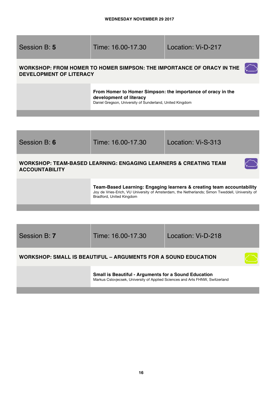Session B: **5** Time: 16.00-17.30 Location: Vi-D-217 **WORKSHOP: FROM HOMER TO HOMER SIMPSON: THE IMPORTANCE OF ORACY IN THE**   $\curvearrowright$ **DEVELOPMENT OF LITERACY From Homer to Homer Simpson: the importance of oracy in the development of literacy**  Daniel Gregson, University of Sunderland, United Kingdom

Session B: **6** Time: 16.00-17.30 Location: Vi-S-313 **WORKSHOP: TEAM-BASED LEARNING: ENGAGING LEARNERS & CREATING TEAM ACCOUNTABILITY Team-Based Learning: Engaging learners & creating team accountability**  Joy de Vries-Erich, VU University of Amsterdam, the Netherlands; Simon Tweddell, University of Bradford, United Kingdom

Session B: **7** Time: 16.00-17.30 Location: Vi-D-218 **WORKSHOP: SMALL IS BEAUTIFUL – ARGUMENTS FOR A SOUND EDUCATION** 

**Small is Beautiful - Arguments for a Sound Education** Markus Cslovjecsek, University of Applied Sciences and Arts FHNW, Switzerland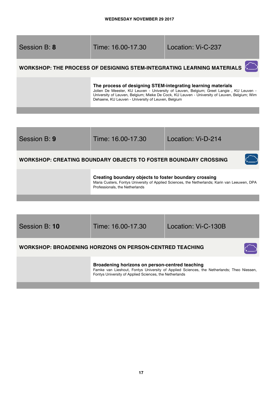۰

٠

| Session B: 8 | Time: 16.00-17.30                                                                                                  | Location: Vi-C-237                                                                                                                                                                      |
|--------------|--------------------------------------------------------------------------------------------------------------------|-----------------------------------------------------------------------------------------------------------------------------------------------------------------------------------------|
|              |                                                                                                                    | <b>WORKSHOP: THE PROCESS OF DESIGNING STEM-INTEGRATING LEARNING MATERIALS</b>                                                                                                           |
|              | The process of designing STEM-integrating learning materials<br>Dehaene, KU Leuven - University of Leuven, Belgium | Jolien De Meester, KU Leuven - University of Leuven, Belgium; Greet Langie, KU Leuven -<br>University of Leuven, Belgium; Mieke De Cock, KU Leuven - University of Leuven, Belgium; Wim |
|              |                                                                                                                    |                                                                                                                                                                                         |

<u> 1989 - Johann Stein, marwolaethau a bhann an t-Amhair an t-Amhair an t-Amhair an t-Amhair an t-Amhair an t-A</u>

| Session B: 9  | Time: 16.00-17.30                                                                       | Location: Vi-D-214                                                                            |
|---------------|-----------------------------------------------------------------------------------------|-----------------------------------------------------------------------------------------------|
|               | <b>WORKSHOP: CREATING BOUNDARY OBJECTS TO FOSTER BOUNDARY CROSSING</b>                  |                                                                                               |
|               | Creating boundary objects to foster boundary crossing<br>Professionals, the Netherlands | Maria Custers, Fontys University of Applied Sciences, the Netherlands; Karin van Leeuwen, DPA |
|               |                                                                                         |                                                                                               |
|               |                                                                                         |                                                                                               |
| Session B: 10 | Time: 16.00-17.30                                                                       | Location: Vi-C-130B                                                                           |
|               | <b>WORKSHOP: BROADENING HORIZONS ON PERSON-CENTRED TEACHING</b>                         |                                                                                               |
|               |                                                                                         |                                                                                               |

**Broadening horizons on person-centred teaching**  Famke van Lieshout, Fontys University of Applied Sciences, the Netherlands; Theo Niessen, Fontys University of Applied Sciences, the Netherlands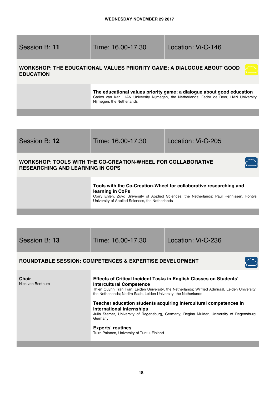Session B: **11** Time: 16.00-17.30 Location: Vi-C-146

# **WORKSHOP: THE EDUCATIONAL VALUES PRIORITY GAME; A DIALOGUE ABOUT GOOD EDUCATION**

**The educational values priority game; a dialogue about good education** Carlos van Kan, HAN University Nijmegen, the Netherlands; Fedor de Beer, HAN University Nijmegen, the Netherlands

Session B: **12** Time: 16.00-17.30 Location: Vi-C-205

# **WORKSHOP: TOOLS WITH THE CO-CREATION-WHEEL FOR COLLABORATIVE RESEARCHING AND LEARNING IN COPS**

### **Tools with the Co-Creation-Wheel for collaborative researching and learning in CoPs**

Corry Ehlen, Zuyd University of Applied Sciences, the Netherlands; Paul Hennissen, Fontys University of Applied Sciences, the Netherlands

Session B: **13** Time: 16.00-17.30 Location: Vi-C-236

# **ROUNDTABLE SESSION: COMPETENCES & EXPERTISE DEVELOPMENT**



**Chair** Niek van Benthum

### **Effects of Critical Incident Tasks in English Classes on Students' Intercultural Competence**

Thien Quynh Tran Tran, Leiden University, the Netherlands; Wilfried Admiraal, Leiden University, the Netherlands; Nadira Saab, Leiden University, the Netherlands

#### **Teacher education students acquiring intercultural competences in international internships**  Julia Sterner, University of Regensburg, Germany; Regina Mulder, University of Regensburg, Germany

**Experts' routines** Tuire Palonen, University of Turku, Finland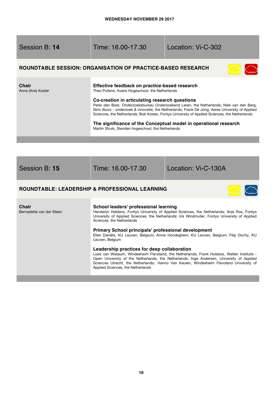| Session B: 14 |  |
|---------------|--|
|---------------|--|

# Time: 16.00-17.30 Location: Vi-C-302

# **ROUNDTABLE SESSION: ORGANISATION OF PRACTICE-BASED RESEARCH**



| Effective feedback on practice-based research<br>Theo Pullens, Avans Hogeschool, the Netherlands                                                                                                                                                                                                                                                |
|-------------------------------------------------------------------------------------------------------------------------------------------------------------------------------------------------------------------------------------------------------------------------------------------------------------------------------------------------|
| Co-creation in articulating research questions<br>Peter den Boer, Onderzoeksbureau Onderzoekend Leren, the Netherlands; Niek van den Berg,<br>Strix Aluco - onderzoek & innovatie, the Netherlands; Frank De Jong, Aeres University of Applied<br>Sciences, the Netherlands; Bob Koster, Fontys University of Applied Sciences, the Netherlands |
| The significance of the Conceptual model in operational research<br>Martin Struik, Stenden hogeschool, the Netherlands                                                                                                                                                                                                                          |
|                                                                                                                                                                                                                                                                                                                                                 |

| Session B: 15 |  |  |
|---------------|--|--|
|---------------|--|--|

Time: 16.00-17.30 Location: Vi-C-130A

# **ROUNDTABLE: LEADERSHIP & PROFESSIONAL LEARNING**



| <b>Chair</b><br>Bernadette van der Steen | School leaders' professional learning<br>Henderijn Heldens, Fontys University of Applied Sciences, the Netherlands; Anje Ros, Fontys<br>University of Applied Sciences, the Netherlands; Iris Windmuller, Fontys University of Applied<br>Sciences, the Netherlands                                                                                                   |
|------------------------------------------|-----------------------------------------------------------------------------------------------------------------------------------------------------------------------------------------------------------------------------------------------------------------------------------------------------------------------------------------------------------------------|
|                                          | Primary School principals' professional development<br>Ellen Daniëls, KU Leuven, Belgium; Annie Hondeghem, KU Leuven, Belgium; Filip Dochy, KU<br>Leuven, Belgium                                                                                                                                                                                                     |
|                                          | Leadership practices for deep collaboration<br>Loes van Wessum, Windesheim Flevoland, the Netherlands; Frank Hulsbos, Welten Institute -<br>Open University of the Netherlands, the Netherlands; Inge Andersen, University of Applied<br>Sciences Utrecht, the Netherlands; Hanno Van Keulen, Windesheim Flevoland University of<br>Applied Sciences, the Netherlands |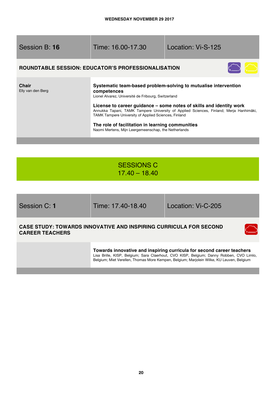| Session B: 16              | Time: 16.00-17.30                                                                                                                                                                                                                                                                                                                                                                                                                                                                 | Location: Vi-S-125 |  |
|----------------------------|-----------------------------------------------------------------------------------------------------------------------------------------------------------------------------------------------------------------------------------------------------------------------------------------------------------------------------------------------------------------------------------------------------------------------------------------------------------------------------------|--------------------|--|
|                            | <b>ROUNDTABLE SESSION: EDUCATOR'S PROFESSIONALISATION</b>                                                                                                                                                                                                                                                                                                                                                                                                                         |                    |  |
| Chair<br>Elly van den Berg | Systematic team-based problem-solving to mutualise intervention<br>competences<br>Lionel Alvarez, Université de Fribourg, Switzerland<br>License to career guidance – some notes of skills and identity work<br>Annukka Tapani, TAMK Tampere University of Applied Sciences, Finland; Merja Hanhimäki,<br><b>TAMK Tampere University of Applied Sciences, Finland</b><br>The role of facilitation in learning communities<br>Naomi Mertens, Mijn Leergemeenschap, the Netherlands |                    |  |

# SESSIONS C 17.40 – 18.40

Session C: **1** Time: 17.40-18.40 Location: Vi-C-205

### **CASE STUDY: TOWARDS INNOVATIVE AND INSPIRING CURRICULA FOR SECOND CAREER TEACHERS**



**Towards innovative and inspiring curricula for second career teachers** Lisa Brille, KISP, Belgium; Sara Claerhout, CVO KISP, Belgium; Danny Robben, CVO Limlo, Belgium; Miet Verellen, Thomas More Kempen, Belgium; Marjolein Wilke, KU Leuven, Belgium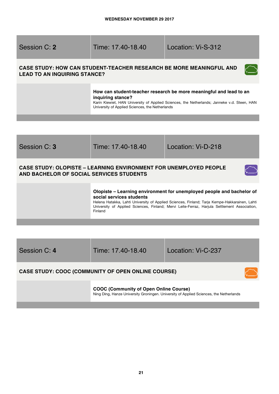| Session C: 2 |  |
|--------------|--|
|--------------|--|

# Session C: **2** Time: 17.40-18.40 Location: Vi-S-312

# **CASE STUDY: HOW CAN STUDENT-TEACHER RESEARCH BE MORE MEANINGFUL AND LEAD TO AN INQUIRING STANCE?**

### **How can student-teacher research be more meaningful and lead to an inquiring stance?**

Karin Kiewiet, HAN University of Applied Sciences, the Netherlands; Janneke v.d. Steen, HAN University of Applied Sciences, the Netherlands



| Session C: 4 | Time: 17.40-18.40                                         | Location: Vi-C-237 |  |
|--------------|-----------------------------------------------------------|--------------------|--|
|              | <b>CASE STUDY: COOC (COMMUNITY OF OPEN ONLINE COURSE)</b> |                    |  |

**COOC (Community of Open Online Course)**  Ning Ding, Hanze University Groningen. University of Applied Sciences, the Netherlands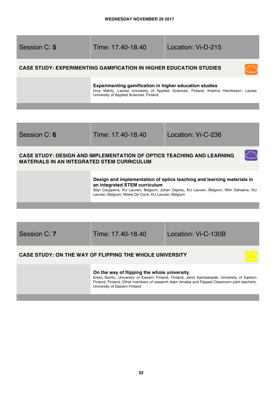| Session C: 5 | Time: 17.40-18.40                                                                                                                                                                            | Location: Vi-D-215 |  |
|--------------|----------------------------------------------------------------------------------------------------------------------------------------------------------------------------------------------|--------------------|--|
|              | <b>CASE STUDY: EXPERIMENTING GAMIFICATION IN HIGHER EDUCATION STUDIES</b>                                                                                                                    |                    |  |
|              | Experimenting gamification in higher education studies<br>Irma Mänty, Laurea University of Applied Sciences, Finland; Kristina Henriksson, Laurea<br>University of Applied Sciences, Finland |                    |  |
|              |                                                                                                                                                                                              |                    |  |

| Session C: 6 |  |
|--------------|--|
|              |  |

Time: 17.40-18.40 Location: Vi-C-236

 $\bigcirc$ 

# **CASE STUDY: DESIGN AND IMPLEMENTATION OF OPTICS TEACHING AND LEARNING MATERIALS IN AN INTEGRATED STEM CURRICULUM**

# **Design and implementation of optics teaching and learning materials in an integrated STEM curriculum**

Stijn Ceuppens, KU Leuven, Belgium; Johan Deprez, KU Leuven, Belgium; Wim Dehaene, KU Leuven, Belgium; Mieke De Cock, KU Leuven, Belgium

Session C: **7** Time: 17.40-18.40 Location: Vi-C-130B

# **CASE STUDY: ON THE WAY OF FLIPPING THE WHOLE UNIVERSITY**

### **On the way of flipping the whole university**

Erkko Sointu, University of Eastern Finland, Finland; Jenni Kankaanpää, University of Eastern Finland, Finland; Other members of research team Ameba and Flipped Classroom pilot teachers, University of Eastern Finland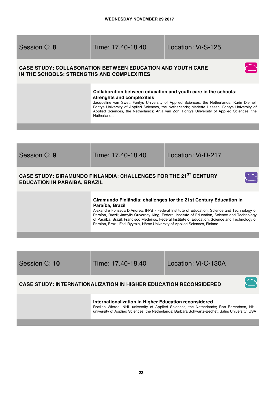| Session C: 8 |  |  |
|--------------|--|--|
|--------------|--|--|

Time: 17.40-18.40 Location: Vi-S-125

# **CASE STUDY: COLLABORATION BETWEEN EDUCATION AND YOUTH CARE IN THE SCHOOLS: STRENGTHS AND COMPLEXITIES**



### **Collaboration between education and youth care in the schools: strenghts and complexities**

Jacqueline van Swet, Fontys University of Applied Sciences, the Netherlands; Karin Diemel, Fontys University of Applied Sciences, the Netherlands; Mariette Haasen, Fontys University of Applied Sciences, the Netherlands; Anja van Zon, Fontys University of Applied Sciences, the Netherlands

| Session C: 9                        | Time: 17.40-18.40                                                                                                                                                                                                                                                                                                                                                                                                                                                          | Location: Vi-D-217 |
|-------------------------------------|----------------------------------------------------------------------------------------------------------------------------------------------------------------------------------------------------------------------------------------------------------------------------------------------------------------------------------------------------------------------------------------------------------------------------------------------------------------------------|--------------------|
| <b>EDUCATION IN PARAIBA, BRAZIL</b> | CASE STUDY: GIRAMUNDO FINLANDIA: CHALLENGES FOR THE 21 <sup>ST</sup> CENTURY                                                                                                                                                                                                                                                                                                                                                                                               |                    |
|                                     | Giramundo Finlândia: challenges for the 21st Century Education in<br>Paraíba, Brazil<br>Alexandre Fonseca D'Andrea, IFPB - Federal Institute of Education, Science and Technology of<br>Paraíba, Brazil; Jamylle Ouverney-King, Federal Institute of Education, Science and Technology<br>of Paraiba, Brazil; Francisco Medeiros, Federal Institute of Education, Science and Technology of<br>Paraiba, Brazil; Essi Ryymin, Häme University of Applied Sciences, Finland. |                    |

| Session C: 10 | Time: 17.40-18.40 | Location: Vi-C-130A |
|---------------|-------------------|---------------------|
|               |                   |                     |

### **CASE STUDY: INTERNATIONALIZATION IN HIGHER EDUCATION RECONSIDERED**

### **Internationalization in Higher Education reconsidered**

Roelien Wierda, NHL university of Applied Sciences, the Netherlands; Ron Barendsen, NHL university of Applied Sciences, the Netherlands; Barbara Schwartz-Bechet, Salus University, USA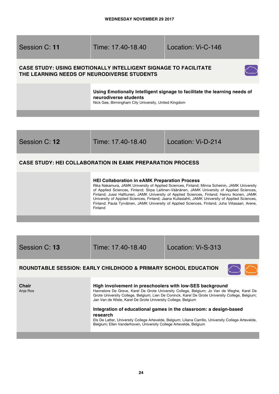

**HEI Collaboration in eAMK Preparation Process**

| Session C: 13 |  |
|---------------|--|
|               |  |
|               |  |

Finland

Session C: **13** Time: 17.40-18.40 Location: Vi-S-313

### **ROUNDTABLE SESSION: EARLY CHILDHOOD & PRIMARY SCHOOL EDUCATION**

**Chair** Anje Ros

### **High involvement in preschoolers with low-SES background**

Hannelore De Greve, Karel De Grote University College, Belgium; Jo Van de Weghe, Karel De Grote University College, Belgium; Lien De Coninck, Karel De Grote University College, Belgium; Jan Van de Wiele, Karel De Grote University College, Belgium

Rika Nakamura, JAMK University of Applied Sciences, Finland; Minna Scheinin, JAMK University of Applied Sciences, Finland; Sirpa Laitinen-Väänänen, JAMK University of Applied Sciences, Finland; Jussi Halttunen, JAMK University of Applied Sciences, Finland; Hannu Ikonen, JAMK University of Applied Sciences, Finland; Jaana Kullaslahti, JAMK University of Applied Sciences, Finland; Paula Tyrväinen, JAMK University of Applied Sciences, Finland; Juha Viitasaari, Arene,

#### **Integration of educational games in the classroom: a design-based research**

Els De Latter, University College Artevelde, Belgium; Liliana Carrillo, University College Artevelde, Belgium; Ellen Vanderhoven, University College Artevelde, Belgium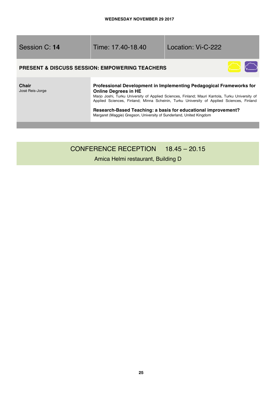|  | Session C: 14 |  |  |
|--|---------------|--|--|
|--|---------------|--|--|

Session C: **14** Time: 17.40-18.40 Location: Vi-C-222

### **PRESENT & DISCUSS SESSION: EMPOWERING TEACHERS**



**Chair**  José Reis-Jorge

### **Professional Development in Implementing Pedagogical Frameworks for Online Degrees in HE**

Marjo Joshi, Turku University of Applied Sciences, Finland; Mauri Kantola, Turku University of Applied Sciences, Finland; Minna Scheinin, Turku University of Applied Sciences, Finland

**Research-Based Teaching: a basis for educational improvement?** Margaret (Maggie) Gregson, University of Sunderland, United Kingdom

# CONFERENCE RECEPTION 18.45 – 20.15

### Amica Helmi restaurant, Building D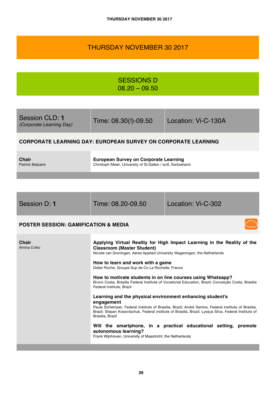# THURSDAY NOVEMBER 30 2017

SESSIONS D 08.20 – 09.50

| Session CLD: 1<br><i>(Corporate Learning Day)</i> | Time: 08.30(!)-09.50 | Location: Vi-C-130A |
|---------------------------------------------------|----------------------|---------------------|
|                                                   |                      |                     |

# **CORPORATE LEARNING DAY: EUROPEAN SURVEY ON CORPORATE LEARNING**

**Chair**  Patrick Belpaire **European Survey on Corporate Learning** Christoph Meier, University of St.Gallen / scill, Switzerland

| Session D: 1 |  |
|--------------|--|

Time: 08.20-09.50 Location: Vi-C-302

# **POSTER SESSION: GAMIFICATION & MEDIA**

| <b>Chair</b><br>Amina Cviko | Applying Virtual Reality for High Impact Learning in the Reality of the<br><b>Classroom (Master Student)</b><br>Nicolle van Groningen, Aeres Applied University Wageningen, the Netherlands<br>How to learn and work with a game<br>Didier Roche, Groupe Sup de Co La Rochelle, France                       |
|-----------------------------|--------------------------------------------------------------------------------------------------------------------------------------------------------------------------------------------------------------------------------------------------------------------------------------------------------------|
|                             | How to motivate students in on line courses using Whatsapp?<br>Bruno Costa, Brasilia Federal Institute of Vocational Education, Brazil; Conceição Costa, Brasilia<br>Federal Institute, Brazil                                                                                                               |
|                             | Learning and the physical environment enhancing student's<br>engagement<br>Paula Schlemper, Federal Institute of Brasilia, Brazil; André Santos, Federal Institute of Brasilia,<br>Brazil; Stepan Krawctschuk, Federal institute of Brasilia, Brazil; Lyssya Silva, Federal Institute of<br>Brasilia, Brazil |
|                             | Will the smartphone, in a practical educational setting, promote<br>autonomous learning?<br>Frank Wijnhoven, University of Maastricht, the Netherlands                                                                                                                                                       |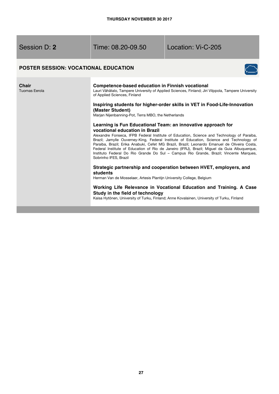Session D: **2** Time: 08.20-09.50 Location: Vi-C-205

# **POSTER SESSION: VOCATIONAL EDUCATION**



**Chair**  Tuomas Eerola **Competence-based education in Finnish vocational**  Lauri Vähätalo, Tampere University of Applied Sciences, Finland; Jiri Vilppola, Tampere University of Applied Sciences, Finland **Inspiring students for higher-order skills in VET in Food-Life-Innovation (Master Student)** Marjan Nijenbanning-Pot, Terra MBO, the Netherlands **Learning is Fun Educational Team: an innovative approach for vocational education in Brazil** Alexandre Fonseca, IFPB Federal Institute of Education, Science and Technology of Paraiba, Brazil; Jamylle Ouverney-King, Federal Institute of Education, Science and Technology of Paraiba, Brazil; Erika Anabuki, Cefet MG Brazil, Brazil; Leonardo Emanuel de Oliveira Costa, Federal Institute of Education of Rio de Janeiro (IFRJ), Brazil; Miguel da Guia Albuquerque, Instituto Federal Do Rio Grande Do Sul – Campus Rio Grande, Brazil; Vincente Marques, Sobrinho IFES, Brazil **Strategic partnership and cooperation between HVET, employers, and students** Herman Van de Mosselaer, Artesis Plantijn University College, Belgium **Working Life Relevance in Vocational Education and Training. A Case Study in the field of technology**  Kaisa Hytönen, University of Turku, Finland; Anne Kovalainen, University of Turku, Finland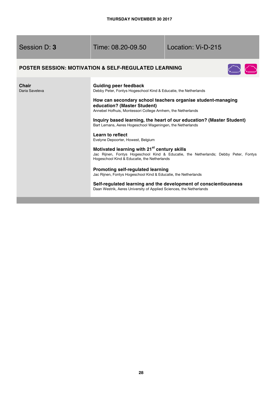| Session D: 3 |  |  |
|--------------|--|--|
|--------------|--|--|

Time: 08.20-09.50 Location: Vi-D-215

# **POSTER SESSION: MOTIVATION & SELF-REGULATED LEARNING**



| Guiding peer feedback<br>Debby Peter, Fontys Hogeschool Kind & Educatie, the Netherlands                                                                                                      |
|-----------------------------------------------------------------------------------------------------------------------------------------------------------------------------------------------|
| How can secondary school teachers organise student-managing<br>education? (Master Student)<br>Annebel Hofhuis, Montessori College Arnhem, the Netherlands                                     |
| Inquiry based learning, the heart of our education? (Master Student)<br>Bart Lemans, Aeres Hogeschool Wageningen, the Netherlands                                                             |
| Learn to reflect<br>Evelyne Depoorter, Howest, Belgium                                                                                                                                        |
| Motivated learning with 21 <sup>st</sup> century skills<br>Jac Rijnen, Fontys Hogeschool Kind & Educatie, the Netherlands; Debby Peter, Fontys<br>Hogeschool Kind & Educatie, the Netherlands |
| <b>Promoting self-regulated learning</b><br>Jac Rijnen, Fontys Hogeschool Kind & Educatie, the Netherlands                                                                                    |
| Self-regulated learning and the development of conscientiousness<br>Daan Westrik, Aeres University of Applied Sciences, the Netherlands                                                       |
|                                                                                                                                                                                               |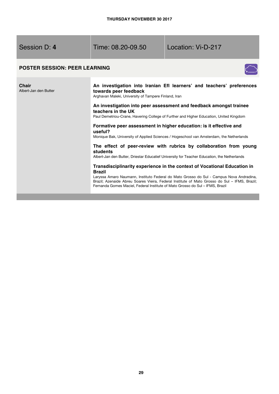Session D: **4** Time: 08.20-09.50 Location: Vi-D-217

# **POSTER SESSION: PEER LEARNING**



| <b>Chair</b><br>Albert-Jan den Butter | An investigation into Iranian Efl learners' and teachers' preferences<br>towards peer feedback<br>Arghavan Maleki, University of Tampere Finland, Iran                                                                                                                    |
|---------------------------------------|---------------------------------------------------------------------------------------------------------------------------------------------------------------------------------------------------------------------------------------------------------------------------|
|                                       | An investigation into peer assessment and feedback amongst trainee<br>teachers in the UK                                                                                                                                                                                  |
|                                       | Paul Demetriou-Crane, Havering College of Further and Higher Education, United Kingdom                                                                                                                                                                                    |
|                                       | Formative peer assessment in higher education: is it effective and<br>useful?<br>Monique Bak, University of Applied Sciences / Hogeschool van Amsterdam, the Netherlands                                                                                                  |
|                                       | The effect of peer-review with rubrics by collaboration from young<br>students<br>Albert-Jan den Butter, Driestar Educatief University for Teacher Education, the Netherlands                                                                                             |
|                                       | Transdisciplinarity experience in the context of Vocational Education in<br><b>Brazil</b>                                                                                                                                                                                 |
|                                       | Laryssa Amaro Naumann, Instituto Federal do Mato Grosso do Sul - Campus Nova Andradina,<br>Brazil; Azenaide Abreu Soares Vieira, Federal Institute of Mato Grosso do Sul - IFMS, Brazil;<br>Fernanda Gomes Maciel, Federal Institute of Mato Grosso do Sul – IFMS, Brazil |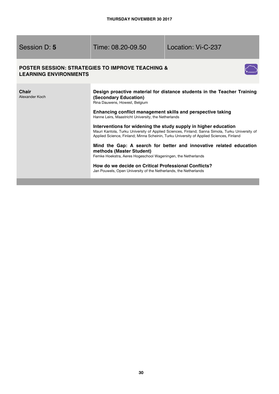| Session D: 5 |  |
|--------------|--|
|--------------|--|

Time: 08.20-09.50 Location: Vi-C-237

### **POSTER SESSION: STRATEGIES TO IMPROVE TEACHING & LEARNING ENVIRONMENTS**

÷



| Chair<br>Alexander Koch | Design proactive material for distance students in the Teacher Training<br>(Secondary Education)<br>Rina Dauwens, Howest, Belgium                                                                                                                             |
|-------------------------|---------------------------------------------------------------------------------------------------------------------------------------------------------------------------------------------------------------------------------------------------------------|
|                         | Enhancing conflict management skills and perspective taking<br>Hanne Leirs, Maastricht University, the Netherlands                                                                                                                                            |
|                         | Interventions for widening the study supply in higher education<br>Mauri Kantola, Turku University of Applied Sciences, Finland; Sanna Simola, Turku University of<br>Applied Science, Finland; Minna Scheinin, Turku University of Applied Sciences, Finland |
|                         | Mind the Gap: A search for better and innovative related education<br>methods (Master Student)<br>Femke Hoekstra, Aeres Hogeschool Wageningen, the Netherlands                                                                                                |
|                         | How do we decide on Critical Professional Conflicts?<br>Jan Pouwels, Open University of the Netherlands, the Netherlands                                                                                                                                      |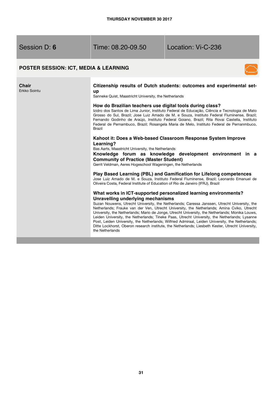Session D: **6** Time: 08.20-09.50 Location: Vi-C-236

### **POSTER SESSION: ICT, MEDIA & LEARNING**



#### **Chair**  Erkko Sointu **Citizenship results of Dutch students: outcomes and experimental setup** Sanneke Quist, Maastricht University, the Netherlands **How do Brazilian teachers use digital tools during class?**  Izidro dos Santos de Lima Junior, Instituto Federal de Educação, Ciência e Tecnologia de Mato Grosso do Sul, Brazil; Jose Luiz Amado de M. e Souza, Instituto Federal Fluminense, Brazil; Fernando Godinho de Araújo, Instituto Federal Goiano, Brazil; Rita Rovai Castella, Instituto Federal de Pernambuco, Brazil; Rosangela Maria de Melo, Instituto Federal de Pernanmbuco, Brazil **Kahoot it: Does a Web-based Classroom Response System Improve Learning?**  Bas Aarts, Maastricht University, the Netherlands **Knowledge forum as knowledge development environment in a Community of Practice (Master Student)** Gerrit Veldman, Aeres Hogeschool Wageningen, the Netherlands **Play Based Learning (PBL) and Gamification for Lifelong competences**  Jose Luiz Amado de M. e Souza, Instituto Federal Fluminense, Brazil; Leonardo Emanuel de Oliveira Costa, Federal Institute of Education of Rio de Janeiro (IFRJ), Brazil **What works in ICT-supported personalized learning environments? Unravelling underlying mechanisms** Suzan Nouwens, Utrecht University, the Netherlands; Caressa Janssen, Utrecht University, the Netherlands; Frauke van der Ven, Utrecht University, the Netherlands; Amina Cviko, Utrecht University, the Netherlands; Mario de Jonge, Utrecht University, the Netherlands; Monika Louws, Leiden University, the Netherlands; Tineke Paas, Utrecht University, the Netherlands; Lysanne Post, Leiden University, the Netherlands; Wilfried Admiraal, Leiden University, the Netherlands; Ditte Lockhorst, Oberon research institute, the Netherlands; Liesbeth Kester, Utrecht University, the Netherlands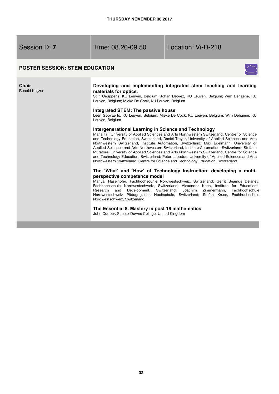**Chair**  Ronald Keijzer

Session D: **7** Time: 08.20-09.50 Location: Vi-D-218

# **POSTER SESSION: STEM EDUCATION**



#### **Developing and implementing integrated stem teaching and learning materials for optics.**

Stijn Ceuppens, KU Leuven, Belgium; Johan Deprez, KU Leuven, Belgium; Wim Dehaene, KU Leuven, Belgium; Mieke De Cock, KU Leuven, Belgium

### **Integrated STEM: The passive house**

Leen Goovaerts, KU Leuven, Belgium; Mieke De Cock, KU Leuven, Belgium; Wim Dehaene, KU Leuven, Belgium

#### **Intergenerational Learning in Science and Technology**

Maria Till, University of Applied Sciences and Arts Northwestern Switzerland, Centre for Science and Technology Education, Switzerland, Daniel Treyer, University of Applied Sciences and Arts Northwestern Switzerland, Institute Automation, Switzerland; Max Edelmann, University of Applied Sciences and Arts Northwestern Switzerland, Institute Automation, Switzerland; Stefano Muratore, University of Applied Sciences and Arts Northwestern Switzerland, Centre for Science and Technology Education, Switzerland; Peter Labudde, University of Applied Sciences and Arts Northwestern Switzerland, Centre for Science and Technology Education, Switzerland

### **The 'What' and 'How' of Technology Instruction: developing a multiperspective competence model**

Manual Haselhofer, Fachhochscuhle Nordwestschweiz, Switzerland; Gerrit Seamus Delaney, Fachhochschule Nordwestschweiz, Switzerland; Alexander Koch, Institute for Educational Research and Development, Switzerland; Joachim Zimmermann, Fachhochschule Nordwestschweiz Pädagogische Hochschule, Switzerland; Stefan Kruse, Fachhochschule Nordwestschweiz, Switzerland

**The Essential 8. Mastery in post 16 mathematics** 

John Cooper, Sussex Downs College, United Kingdom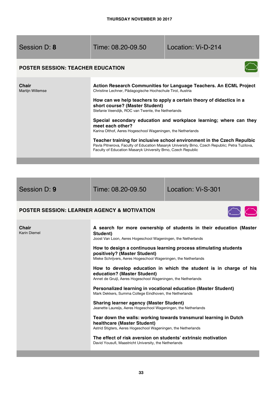Time: 08.20-09.50 Location: Vi-D-214

# **POSTER SESSION: TEACHER EDUCATION**



| <b>Chair</b><br><b>Martijn Willemse</b> | Action Research Communities for Language Teachers. An ECML Project<br>Christine Lechner, Pädagogische Hochschule Tirol, Austria                                                                                                           |
|-----------------------------------------|-------------------------------------------------------------------------------------------------------------------------------------------------------------------------------------------------------------------------------------------|
|                                         | How can we help teachers to apply a certain theory of didactics in a<br>short course? (Master Student)<br>Stefanie Veendijk, ROC van Twente, the Netherlands                                                                              |
|                                         | Special secondary education and workplace learning; where can they<br>meet each other?<br>Karina Olthof, Aeres Hogeschool Wageningen, the Netherlands                                                                                     |
|                                         | Teacher training for inclusive school environment in the Czech Repulbic<br>Pavla Pitnerova, Faculty of Education Masaryk University Brno, Czech Republic; Petra Tuzilova,<br>Faculty of Education Masaryk University Brno, Czech Republic |

Session D: **9** Time: 08.20-09.50 Location: Vi-S-301

# **POSTER SESSION: LEARNER AGENCY & MOTIVATION**

| <b>Chair</b><br><b>Karin Diemel</b> | A search for more ownership of students in their education (Master<br>Student)<br>Joost Van Loon, Aeres Hogeschool Wageningen, the Netherlands                     |
|-------------------------------------|--------------------------------------------------------------------------------------------------------------------------------------------------------------------|
|                                     | How to design a continuous learning process stimulating students<br>positively? (Master Student)<br>Mieke Schrijvers, Aeres Hogeschool Wageningen, the Netherlands |
|                                     | How to develop education in which the student is in charge of his<br>education? (Master Student)<br>Annet de Gruijl, Aeres Hogeschool Wageningen, the Netherlands  |
|                                     | Personalized learning in vocational education (Master Student)<br>Mark Dekkers, Summa College Eindhoven, the Netherlands                                           |
|                                     | <b>Sharing learner agency (Master Student)</b><br>Jeanette Laureijs, Aeres Hogeschool Wageningen, the Netherlands                                                  |
|                                     | Tear down the walls: working towards transmural learning in Dutch<br>healthcare (Master Student)<br>Astrid Stigters, Aeres Hogeschool Wageningen, the Netherlands  |
|                                     | The effect of risk aversion on students' extrinsic motivation<br>David Yousufi, Maastricht University, the Netherlands                                             |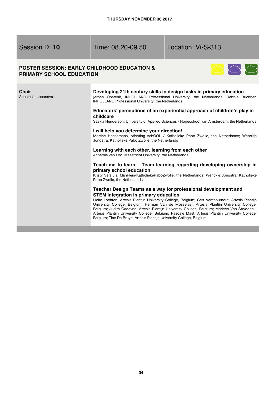Session D: **10** Time: 08.20-09.50 Location: Vi-S-313

### **POSTER SESSION: EARLY CHILDHOOD EDUCATION & PRIMARY SCHOOL EDUCATION**



| Chair<br>Anastasia Lobanova | Developing 21th century skills in design tasks in primary education<br>Jeroen Onstenk, INHOLLAND Professional University, the Netherlands; Debbie Buchner,<br><b>INHOLLAND Professional University, the Netherlands</b>                                                                                                                                                                                                                                                                                                                                                                       |
|-----------------------------|-----------------------------------------------------------------------------------------------------------------------------------------------------------------------------------------------------------------------------------------------------------------------------------------------------------------------------------------------------------------------------------------------------------------------------------------------------------------------------------------------------------------------------------------------------------------------------------------------|
|                             | Educators' perceptions of an experiential approach of children's play in<br>childcare<br>Saskia Henderson, University of Applied Sciences / Hogeschool van Amsterdam, the Netherlands                                                                                                                                                                                                                                                                                                                                                                                                         |
|                             | I will help you determine your direction!<br>Martine Heesemans, stichting schOOL / Katholieke Pabo Zwolle, the Netherlands; Wenckje<br>Jongstra, Katholieke Pabo Zwolle, the Netherlands                                                                                                                                                                                                                                                                                                                                                                                                      |
|                             | Learning with each other, learning from each other<br>Annemie van Loo, Maastricht University, the Netherlands                                                                                                                                                                                                                                                                                                                                                                                                                                                                                 |
|                             | Teach me to learn – Team learning regarding developing ownership in<br>primary school education<br>Kristy Versluis, MijnPlein/KatholiekePaboZwolle, the Netherlands; Wenckje Jongstra, Katholieke<br>Pabo Zwolle, the Netherlands                                                                                                                                                                                                                                                                                                                                                             |
|                             | Teacher Design Teams as a way for professional development and<br><b>STEM</b> integration in primary education<br>Lieke Lochten, Artesis Plantijn University College, Belgium; Gert Vanthournout, Artesis Plantijn<br>University College, Belgium; Herman Van de Mosselaer, Artesis Plantijn University College,<br>Belgium; Judith Gadeyne, Artesis Plantijn University College, Belgium; Marleen Van Strydonck,<br>Artesis Plantijn University College, Belgium; Pascale Mast, Artesis Plantijn University College,<br>Belgium; Tine De Bruyn, Artesis Plantijn University College, Belgium |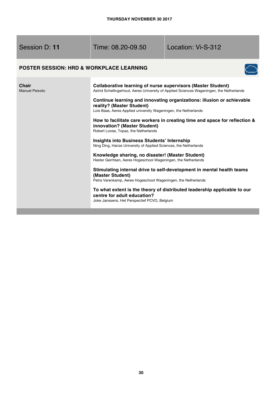**Chair**  Manuel

Time: 08.20-09.50 Location: Vi-S-312

# **POSTER SESSION: HRD & WORKPLACE LEARNING**



| Peixoto | <b>Collaborative learning of nurse supervisors (Master Student)</b><br>Astrid Schellingerhout, Aeres University of Applied Sciences Wageningen, the Netherlands        |
|---------|------------------------------------------------------------------------------------------------------------------------------------------------------------------------|
|         | Continue learning and innovating organizations: illusion or achievable<br>reality? (Master Student)<br>Lois Baas, Aeres Applied university Wageningen, the Netherlands |
|         | How to facilitate care workers in creating time and space for reflection &<br>innovation? (Master Student)<br>Robert Loose, Topaz, the Netherlands                     |
|         | Insights into Business Students' Internship<br>Ning Ding, Hanze University of Applied Sciences, the Netherlands                                                        |
|         | Knowledge sharing, no disaster! (Master Student)<br>Hester Gerritsen, Aeres Hogeschool Wageningen, the Netherlands                                                     |
|         | Stimulating internal drive to self-development in mental health teams<br>(Master Student)                                                                              |
|         | Petra Varenkamp, Aeres Hogeschool Wageningen, the Netherlands<br>To what extent is the theory of distributed leadership applicable to our                              |
|         | centre for adult education?<br>Joke Janssens, Het Perspectief PCVO, Belgium                                                                                            |
|         |                                                                                                                                                                        |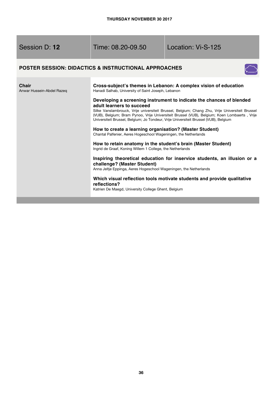| Session D: 12 |  |
|---------------|--|
|---------------|--|

# Time: 08.20-09.50 Location: Vi-S-125

# **POSTER SESSION: DIDACTICS & INSTRUCTIONAL APPROACHES**



| Chair<br>Anwar Hussein-Abdel Razeq | Cross-subject's themes in Lebanon: A complex vision of education<br>Hanadi Salhab, University of Saint Joseph, Lebanon                                                                                                                                                                                                                                                                       |  |
|------------------------------------|----------------------------------------------------------------------------------------------------------------------------------------------------------------------------------------------------------------------------------------------------------------------------------------------------------------------------------------------------------------------------------------------|--|
|                                    | Developing a screening instrument to indicate the chances of blended<br>adult learners to succeed<br>Silke Vanslambrouck, Vrije universiteit Brussel, Belgium; Chang Zhu, Vrije Universiteit Brussel<br>(VUB), Belgium; Bram Pynoo, Vrije Universiteit Brussel (VUB), Belgium; Koen Lombaerts, Vrije<br>Universiteit Brussel, Belgium; Jo Tondeur, Vrije Universiteit Brussel (VUB), Belgium |  |
|                                    | How to create a learning organisation? (Master Student)<br>Chantal Palfenier, Aeres Hogeschool Wageningen, the Netherlands                                                                                                                                                                                                                                                                   |  |
|                                    | How to retain anatomy in the student's brain (Master Student)<br>Ingrid de Graaf, Koning Willem 1 College, the Netherlands                                                                                                                                                                                                                                                                   |  |
|                                    | Inspiring theoretical education for inservice students, an illusion or a<br>challenge? (Master Student)<br>Anna Jeltje Eppinga, Aeres Hogeschool Wageningen, the Netherlands                                                                                                                                                                                                                 |  |
|                                    | Which visual reflection tools motivate students and provide qualitative<br>reflections?<br>Katrien De Maegd, University College Ghent, Belgium                                                                                                                                                                                                                                               |  |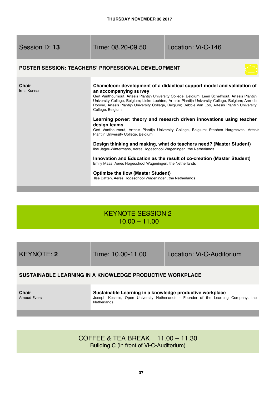| Session D: 13         | Time: 08.20-09.50                                                                                                                                                                                                                                                                                                                                                                                                                                                                                                                                                                                                                                                                                                                                                                                                                                                                           | Location: Vi-C-146 |
|-----------------------|---------------------------------------------------------------------------------------------------------------------------------------------------------------------------------------------------------------------------------------------------------------------------------------------------------------------------------------------------------------------------------------------------------------------------------------------------------------------------------------------------------------------------------------------------------------------------------------------------------------------------------------------------------------------------------------------------------------------------------------------------------------------------------------------------------------------------------------------------------------------------------------------|--------------------|
|                       | <b>POSTER SESSION: TEACHERS' PROFESSIONAL DEVELOPMENT</b>                                                                                                                                                                                                                                                                                                                                                                                                                                                                                                                                                                                                                                                                                                                                                                                                                                   |                    |
| Chair<br>Irma Kunnari | Chameleon: development of a didactical support model and validation of<br>an accompanying survey<br>Gert Vanthournout, Artesis Plantijn University College, Belgium; Leen Schelfhout, Artesis Plantijn<br>University College, Belgium; Lieke Lochten, Artesis Plantijn University College, Belgium; Ann de<br>Roover, Artesis Plantijn University College, Belgium; Debbie Van Loo, Artesis Plantijn University<br>College, Belgium<br>Learning power: theory and research driven innovations using teacher<br>design teams<br>Gert Vanthournout, Artesis Plantijn University College, Belgium; Stephen Hargreaves, Artesis<br>Plantijn University College, Belgium<br>Design thinking and making, what do teachers need? (Master Student)<br>Ilse Jager-Wintermans, Aeres Hogeschool Wageningen, the Netherlands<br>Innovation and Education as the result of co-creation (Master Student) |                    |
|                       | Emily Maas, Aeres Hogeschool Wageningen, the Netherlands<br><b>Optimize the flow (Master Student)</b><br>Ilse Batten, Aeres Hogeschool Wageningen, the Netherlands                                                                                                                                                                                                                                                                                                                                                                                                                                                                                                                                                                                                                                                                                                                          |                    |

# KEYNOTE SESSION 2 10.00 – 11.00

KEYNOTE: **2** Time: 10.00-11.00 Location: Vi-C-Auditorium

# **SUSTAINABLE LEARNING IN A KNOWLEDGE PRODUCTIVE WORKPLACE**

**Chair** Arnoud Evers **Sustainable Learning in a knowledge productive workplace** Joseph Kessels, Open University Netherlands - Founder of the Learning Company, the **Netherlands** 

# COFFEE & TEA BREAK 11.00 – 11.30 Building C (in front of Vi-C-Auditorium)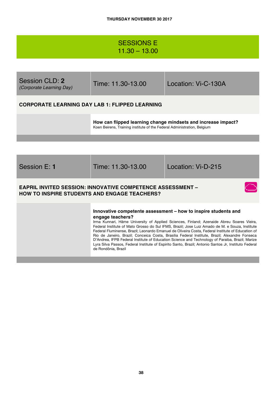# SESSIONS E 11.30 – 13.00

| Session CLD: 2<br>(Corporate Learning Day)            | Time: 11.30-13.00                                                                                                                        | Location: Vi-C-130A |
|-------------------------------------------------------|------------------------------------------------------------------------------------------------------------------------------------------|---------------------|
| <b>CORPORATE LEARNING DAY LAB 1: FLIPPED LEARNING</b> |                                                                                                                                          |                     |
|                                                       | How can flipped learning change mindsets and increase impact?<br>Koen Beirens, Training institute of the Federal Administration, Belgium |                     |
|                                                       |                                                                                                                                          |                     |
| Session E: 1                                          | Time: 11.30-13.00                                                                                                                        | Location: Vi-D-215  |

### **EAPRIL INVITED SESSION: INNOVATIVE COMPETENCE ASSESSMENT – HOW TO INSPIRE STUDENTS AND ENGAGE TEACHERS?**

#### **Innovative competente assessment – how to inspire students and engage teachers?**

Irma Kunnari, Häme University of Applied Sciences, Finland; Azenaide Abreu Soares Vieira, Federal Institute of Mato Grosso do Sul IFMS, Brazil; Jose Luiz Amado de M. e Souza, Institute Federal Fluminense, Brazil; Leonardo Emanuel de Oliveira Costa, Federal Institute of Education of Rio de Janeiro, Brazil; Conceica Costa, Brasilia Federal Institute, Brazil; Alexandre Fonseca D'Andrea, IFPB Federal Institute of Education Science and Technology of Paraiba, Brazil; Marize Lyra Silva Passos, Federal Institute of Espirito Santo, Brazil; Antonio Santos Jr, Instituto Federal de Rondônia, Brazil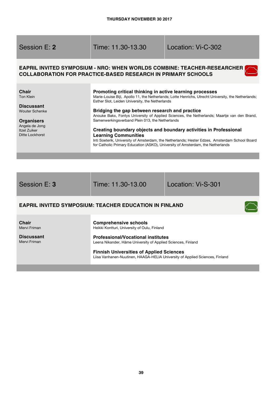| Session E: 2                                                                                                                                      | Time: 11.30-13.30                                                                                                                                                                                                                                                                                                                  | Location: Vi-C-302                                                                                                                                                                                                                                                                                                                                                       |
|---------------------------------------------------------------------------------------------------------------------------------------------------|------------------------------------------------------------------------------------------------------------------------------------------------------------------------------------------------------------------------------------------------------------------------------------------------------------------------------------|--------------------------------------------------------------------------------------------------------------------------------------------------------------------------------------------------------------------------------------------------------------------------------------------------------------------------------------------------------------------------|
|                                                                                                                                                   | COLLABORATION FOR PRACTICE-BASED RESEARCH IN PRIMARY SCHOOLS                                                                                                                                                                                                                                                                       | EAPRIL INVITED SYMPOSIUM - NRO: WHEN WORLDS COMBINE: TEACHER-RESEARCHER                                                                                                                                                                                                                                                                                                  |
| <b>Chair</b><br>Ton Klein<br><b>Discussant</b><br><b>Wouter Schenke</b><br><b>Organisers</b><br>Angela de Jong<br>Itzel Zuiker<br>Ditte Lockhorst | Promoting critical thinking in active learning processes<br>Esther Slot, Leiden University, the Netherlands<br>Bridging the gap between research and practice<br>Samenwerkingsverband Plein 013, the Netherlands<br><b>Learning Communities</b><br>for Catholic Primary Education (ASKO), University of Amsterdam, the Netherlands | Marie-Louise Bijl, Apollo 11, the Netherlands; Lotte Henrichs, Utrecht University, the Netherlands;<br>Anouke Bakx, Fontys University of Applied Sciences, the Netherlands; Maartje van den Brand,<br>Creating boundary objects and boundary activities in Professional<br>Inti Soeterik, University of Amsterdam, the Netherlands; Hester Edzes, Amsterdam School Board |

Session E: **3** Time: 11.30-13.00 Location: Vi-S-301

 $\bigcap$ 

# **EAPRIL INVITED SYMPOSIUM: TEACHER EDUCATION IN FINLAND**

**Chair**  Mervi Friman

**Discussant** Mervi Friman

**Comprehensive schools** Heikki Kontturi, University of Oulu, Finland

**Professional/Vocational institutes** Leena Nikander, Häme University of Applied Sciences, Finland

**Finnish Universities of Applied Sciences** Liisa Vanhanen-Nuutinen, HAAGA-HELIA University of Applied Sciences, Finland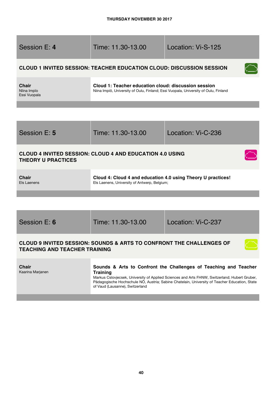| Session E: 4                                                                                                            | Time: 11.30-13.00                                                                                                                           | Location: Vi-S-125                                                                                                                                                                                                                                                 |
|-------------------------------------------------------------------------------------------------------------------------|---------------------------------------------------------------------------------------------------------------------------------------------|--------------------------------------------------------------------------------------------------------------------------------------------------------------------------------------------------------------------------------------------------------------------|
|                                                                                                                         | <b>CLOUD 1 INVITED SESSION: TEACHER EDUCATION CLOUD: DISCUSSION SESSION</b>                                                                 |                                                                                                                                                                                                                                                                    |
| Chair<br>Niina Impio<br>Essi Vuopala                                                                                    | Cloud 1: Teacher education cloud: discussion session<br>Niina Impiö, University of Oulu, Finland; Essi Vuopala, University of Oulu, Finland |                                                                                                                                                                                                                                                                    |
|                                                                                                                         |                                                                                                                                             |                                                                                                                                                                                                                                                                    |
| Session E: 5                                                                                                            | Time: 11.30-13.00                                                                                                                           | Location: Vi-C-236                                                                                                                                                                                                                                                 |
| <b>CLOUD 4 INVITED SESSION: CLOUD 4 AND EDUCATION 4.0 USING</b><br><b>THEORY U PRACTICES</b>                            |                                                                                                                                             |                                                                                                                                                                                                                                                                    |
| <b>Chair</b><br>Els Laenens                                                                                             | Cloud 4: Cloud 4 and education 4.0 using Theory U practices!<br>Els Laenens, University of Antwerp, Belgium;                                |                                                                                                                                                                                                                                                                    |
|                                                                                                                         |                                                                                                                                             |                                                                                                                                                                                                                                                                    |
| Session E: 6                                                                                                            | Time: 11.30-13.00                                                                                                                           | Location: Vi-C-237                                                                                                                                                                                                                                                 |
| <b>CLOUD 9 INVITED SESSION: SOUNDS &amp; ARTS TO CONFRONT THE CHALLENGES OF</b><br><b>TEACHING AND TEACHER TRAINING</b> |                                                                                                                                             |                                                                                                                                                                                                                                                                    |
| <b>Chair</b><br>Kaarina Marjanen                                                                                        | <b>Training</b><br>of Vaud (Lausanne), Switzerland                                                                                          | Sounds & Arts to Confront the Challenges of Teaching and Teacher<br>Markus Cslovjecsek, University of Applied Sciences and Arts FHNW, Switzerland; Hubert Gruber,<br>Pädagogische Hochschule NÖ, Austria; Sabine Chatelain, University of Teacher Education, State |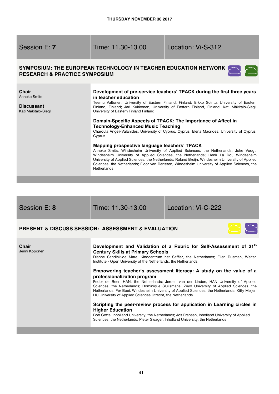# Time: 11.30-13.00 Location: Vi-S-312

### **SYMPOSIUM: THE EUROPEAN TECHNOLOGY IN TEACHER EDUCATION NETWORK RESEARCH & PRACTICE SYMPOSIUM**



| Chair<br>Anneke Smits<br><b>Discussant</b><br>Kati Mäkitalo-Siegl | Development of pre-service teachers' TPACK during the first three years<br>in teacher education<br>Teemu Valtonen, University of Eastern Finland, Finland; Erkko Sointu, University of Eastern<br>Finland, Finland; Jari Kukkonen, University of Eastern Finland, Finland; Kati Mäkitalo-Siegl,<br>University of Eastern Finland Finland                                                                                                        |
|-------------------------------------------------------------------|-------------------------------------------------------------------------------------------------------------------------------------------------------------------------------------------------------------------------------------------------------------------------------------------------------------------------------------------------------------------------------------------------------------------------------------------------|
|                                                                   | Domain-Specific Aspects of TPACK: The Importance of Affect in<br><b>Technology-Enhanced Music Teaching</b><br>Charoula Angeli-Valanides, University of Cyprus, Cyprus; Elena Macrides, University of Cyprus,<br>Cyprus                                                                                                                                                                                                                          |
|                                                                   | Mapping prospective language teachers' TPACK<br>Anneke Smits, Windesheim University of Applied Sciences, the Netherlands; Joke Voogt,<br>Windesheim University of Applied Sciences, the Netherlands; Henk La Roi, Windesheim<br>University of Applied Sciences, the Netherlands; Roland Bruijn, Windesheim University of Applied<br>Sciences, the Netherlands; Floor van Renssen, Windesheim University of Applied Sciences, the<br>Netherlands |

| Session E: 8 |  |
|--------------|--|
|              |  |

Session E: **8** Time: 11.30-13.00 Location: Vi-C-222

# **PRESENT & DISCUSS SESSION: ASSESSMENT & EVALUATION**

| <b>Chair</b><br>Jenni Koponen | Development and Validation of a Rubric for Self-Assessment of 21 <sup>st</sup><br><b>Century Skills at Primary Schools</b><br>Dianne Sandink-de Mare, Kindcentrum het Saffier, the Netherlands; Ellen Rusman, Welten<br>Institute - Open University of the Netherlands, the Netherlands                                                                                                                                                                    |
|-------------------------------|------------------------------------------------------------------------------------------------------------------------------------------------------------------------------------------------------------------------------------------------------------------------------------------------------------------------------------------------------------------------------------------------------------------------------------------------------------|
|                               | Empowering teacher's assessment literacy: A study on the value of a<br>professionalization program<br>Fedor de Beer, HAN, the Netherlands; Jeroen van der Linden, HAN University of Applied<br>Sciences, the Netherlands; Dominique Sluijsmans, Zuyd University of Applied Sciences, the<br>Netherlands; Fer Boei, Windesheim University of Applied Sciences, the Netherlands; Kitty Meijer,<br>HU University of Applied Sciences Utrecht, the Netherlands |
|                               | Scripting the peer-review process for application in Learning circles in<br><b>Higher Education</b><br>Bob Gotte, Inholland University, the Netherlands; Jos Fransen, Inholland University of Applied<br>Sciences, the Netherlands; Pieter Swager, Inholland University, the Netherlands                                                                                                                                                                   |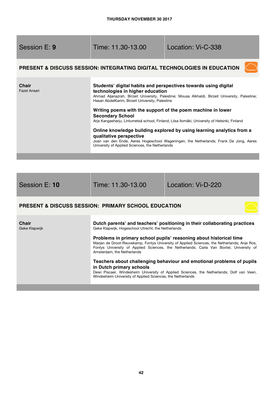| Session E: 9          | Time: 11.30-13.00                                                                                                                                                                                                                                                                                                                                                                                                                                                                                                                                                                                                                                                                                   | Location: Vi-C-338                                                       |
|-----------------------|-----------------------------------------------------------------------------------------------------------------------------------------------------------------------------------------------------------------------------------------------------------------------------------------------------------------------------------------------------------------------------------------------------------------------------------------------------------------------------------------------------------------------------------------------------------------------------------------------------------------------------------------------------------------------------------------------------|--------------------------------------------------------------------------|
|                       |                                                                                                                                                                                                                                                                                                                                                                                                                                                                                                                                                                                                                                                                                                     | PRESENT & DISCUSS SESSION: INTEGRATING DIGITAL TECHNOLOGIES IN EDUCATION |
| Chair<br>Fazel Ansari | Students' digital habits and perspectives towards using digital<br>technologies in higher education<br>Ahmad Aljanazrah, Birzeit University, Palestine; Mousa Alkhaldi, Birzeit University, Palestine;<br>Hasan AbdelKarim, Birzeit University, Palestine<br>Writing poems with the support of the poem machine in lower<br><b>Secondary School</b><br>Arja Kangasharju, Lintumetsä school, Finland; Liisa Ilomäki, University of Helsinki, Finland<br>Online knowledge building explored by using learning analytics from a<br>qualitative perspective<br>Joan van den Ende, Aeres Hogeschool Wageningen, the Netherlands; Frank De Jong, Aeres<br>University of Applied Sciences, the Netherlands |                                                                          |
| Session E: 10         | Time: 11.30-13.00                                                                                                                                                                                                                                                                                                                                                                                                                                                                                                                                                                                                                                                                                   | Location: Vi-D-220                                                       |

# **PRESENT & DISCUSS SESSION: PRIMARY SCHOOL EDUCATION**

| <b>Chair</b><br>Geke Klapwijk | Dutch parents' and teachers' positioning in their collaborating practices<br>Geke Klapwijk, Hogeschool Utrecht, the Netherlands                                                                                                                                                             |
|-------------------------------|---------------------------------------------------------------------------------------------------------------------------------------------------------------------------------------------------------------------------------------------------------------------------------------------|
|                               | Problems in primary school pupils' reasoning about historical time<br>Marjan de Groot-Reuvekamp, Fontys University of Applied Sciences, the Netherlands; Anje Ros,<br>Fontys University of Applied Sciences, the Netherlands; Carla Van Boxtel, University of<br>Amsterdam, the Netherlands |
|                               | Teachers about challenging behaviour and emotional problems of pupils<br>in Dutch primary schools<br>Dewi Piscaer, Windesheim University of Applied Sciences, the Netherlands; Dolf van Veen,<br>Windesheim University of Applied Sciences, the Netherlands                                 |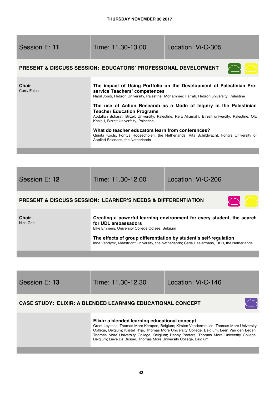| Session E: 11               | Time: 11.30-13.00                                                                                                                                                                                        | Location: Vi-C-305                                                                                                                                                                                                                                                                                                                                                                                                                        |
|-----------------------------|----------------------------------------------------------------------------------------------------------------------------------------------------------------------------------------------------------|-------------------------------------------------------------------------------------------------------------------------------------------------------------------------------------------------------------------------------------------------------------------------------------------------------------------------------------------------------------------------------------------------------------------------------------------|
|                             | <b>PRESENT &amp; DISCUSS SESSION: EDUCATORS' PROFESSIONAL DEVELOPMENT</b>                                                                                                                                |                                                                                                                                                                                                                                                                                                                                                                                                                                           |
| <b>Chair</b><br>Corry Ehlen | service Teachers' competences<br><b>Teacher Education Programs</b><br>Khalaili, Birzeit Univerfsity, Palestine<br>What do teacher educators learn from conferences?<br>Applied Sciences, the Netherlands | The impact of Using Portfolio on the Development of Palestinian Pre-<br>Nabil Jondi, Hebron University, Palestine; Mohammed Farrah, Hebron university, Palestine<br>The use of Action Research as a Mode of Inquiry in the Palestinian<br>Abdallah Bsharat, Birzeit University, Palestine; Refa Alramahi, Birzeit university, Palestine; Ola<br>Quinta Kools, Fontys Hogescholen, the Netherlands; Rita Schildwacht, Fontys University of |
|                             |                                                                                                                                                                                                          |                                                                                                                                                                                                                                                                                                                                                                                                                                           |

| Session E: 12                                                               | Time: 11.30-12.00                                                                             | Location: Vi-C-206 |
|-----------------------------------------------------------------------------|-----------------------------------------------------------------------------------------------|--------------------|
| <b>PRESENT &amp; DISCUSS SESSION: LEARNER'S NEEDS &amp; DIFFERENTIATION</b> |                                                                                               |                    |
| <b>Chair</b><br>Nick Gee                                                    | Creating a powerful learning environment for every student, the search<br>for UDL ambassadors |                    |

and the con-

Elke Emmers, University College Odisee, Belgium

**The effects of group differentiation by student's self-regulation**  Inne Vandyck, Maastricht University, the Netherlands; Carla Haelermans, TIER, the Netherlands

| Session E: 13                                                     | Time: 11.30-12.30                                                                                                                                                                                                                                                                                                                                                                                           | Location: Vi-C-146 |
|-------------------------------------------------------------------|-------------------------------------------------------------------------------------------------------------------------------------------------------------------------------------------------------------------------------------------------------------------------------------------------------------------------------------------------------------------------------------------------------------|--------------------|
| <b>CASE STUDY: ELIXIR: A BLENDED LEARNING EDUCATIONAL CONCEPT</b> |                                                                                                                                                                                                                                                                                                                                                                                                             |                    |
|                                                                   | Elixir: a blended learning educational concept<br>Greet Leysens, Thomas More Kempen, Belgium; Kirsten Vandermeulen, Thomas More University<br>College, Belgium; Kristel Thijs, Thomas More University College, Belgium; Leen Van den Eeden,<br>Thomas More University College, Belgium; Danny Peeters, Thomas More University College,<br>Belgium; Lieve De Busser, Thomas More University College, Belgium |                    |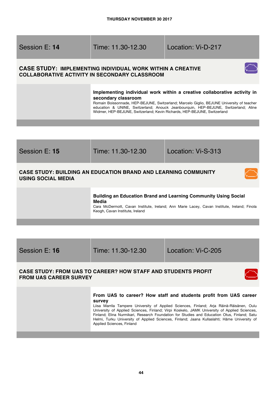Session E: **14** Time: 11.30-12.30 Location: Vi-D-217

# **CASE STUDY: IMPLEMENTING INDIVIDUAL WORK WITHIN A CREATIVE COLLABORATIVE ACTIVITY IN SECONDARY CLASSROOM**



Romain Boissonnade, HEP-BEJUNE, Switzerland; Marcelo Giglio, BEJUNE University of teacher education & UNINE, Switzerland; Anouck Jeanbourquin, HEP-BEJUNE, Switzerland; Aline Widmer, HEP-BEJUNE, Switzerland; Kevin Richards, HEP-BEJUNE, Switzerland



### **Building an Education Brand and Learning Community Using Social Media**

Cara McDermott, Cavan Institute, Ireland; Ann Marie Lacey, Cavan Institute, Ireland; Finola Keogh, Cavan Institute, Ireland

Session E: **16** Time: 11.30-12.30 Location: Vi-C-205

# **CASE STUDY: FROM UAS TO CAREER? HOW STAFF AND STUDENTS PROFIT FROM UAS CAREER SURVEY**

#### **From UAS to career? How staff and students profit from UAS career survey**

Liisa Marrila Tampere University of Applied Sciences, Finland; Arja Räinä-Räisänen, Oulu University of Applied Sciences, Finland; Virpi Koskelo, JAMK University of Applied Sciences, Finland; Elina Nurmikari, Research Foundation for Studies and Education Otus, Finland; Satu Helmi, Turku University of Applied Sciences, Finland; Jaana Kullaslahti; Häme University of Applied Sciences, Finland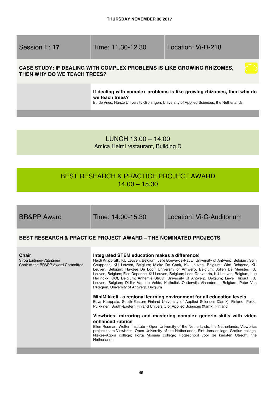Session E: **17** Time: 11.30-12.30 Location: Vi-D-218

# **CASE STUDY: IF DEALING WITH COMPLEX PROBLEMS IS LIKE GROWING RHIZOMES, THEN WHY DO WE TEACH TREES?**

**If dealing with complex problems is like growing rhizomes, then why do we teach trees?**

Eti de Vries, Hanze University Groningen. University of Applied Sciences, the Netherlands

LUNCH 13.00 – 14.00 Amica Helmi restaurant, Building D

# BEST RESEARCH & PRACTICE PROJECT AWARD  $14.00 - 15.30$

BR&PP Award Time: 14.00-15.30 Location: Vi-C-Auditorium

# **BEST RESEARCH & PRACTICE PROJECT AWARD – THE NOMINATED PROJECTS**

| <b>Chair</b><br>Sirpa Laitinen-Väänänen<br>Chair of the BR&PP Award Committee | Integrated STEM education makes a difference!<br>Heidi Knipprath, KU Leuven, Belgium; Jelle Boeve-de-Pauw, University of Antwerp, Belgium; Stijn<br>Ceuppens, KU Leuven, Belgium; Mieke De Cock, KU Leuven, Belgium; Wim Dehaene, KU<br>Leuven, Belgium; Haydée De Loof, University of Antwerp, Belgium; Jolien De Meester, KU<br>Leuven, Belgium; Fien Depaepe, KU Leuven, Belgium; Leen Goovaerts, KU Leuven, Belgium; Luc<br>Hellinckx, GO!, Belgium; Annemie Struyf, University of Antwerp, Belgium; Lieve Thibaut, KU<br>Leuven, Belgium; Didier Van de Velde, Katholiek Onderwijs Vlaanderen, Belgium; Peter Van<br>Petegem, University of Antwerp, Belgium |
|-------------------------------------------------------------------------------|-------------------------------------------------------------------------------------------------------------------------------------------------------------------------------------------------------------------------------------------------------------------------------------------------------------------------------------------------------------------------------------------------------------------------------------------------------------------------------------------------------------------------------------------------------------------------------------------------------------------------------------------------------------------|
|                                                                               | MiniMikkeli - a regional learning environment for all education levels<br>Eeva Kuoppala, South-Eastern Finland University of Applied Sciences (Xamk), Finland; Pekka<br>Pulkkinen, South-Eastern Finland University of Applied Sciences (Xamk), Finland                                                                                                                                                                                                                                                                                                                                                                                                           |
|                                                                               | Viewbrics: mirroring and mastering complex generic skills with video<br>enhanced rubrics<br>Ellen Rusman, Welten Institute - Open University of the Netherlands, the Netherlands; Viewbrics<br>project team Viewbrics, Open University of the Netherlands; Sint-Jans college; Grotius college;<br>Niekée-Agora college; Porta Mosana college; Hogeschool voor de kunsten Utrecht, the<br>Netherlands                                                                                                                                                                                                                                                              |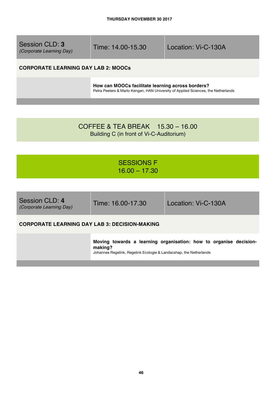| Session CLD: 3<br>(Corporate Learning Day) | Time: 14.00-15.30 | Location: Vi-C-130A |
|--------------------------------------------|-------------------|---------------------|
|                                            |                   |                     |

# **CORPORATE LEARNING DAY LAB 2: MOOCs**

**How can MOOCs facilitate learning across borders?**  Petra Peeters & Marlo Kengen, HAN University of Applied Sciences, the Netherlands

COFFEE & TEA BREAK 15.30 – 16.00 Building C (in front of Vi-C-Auditorium)

# SESSIONS F 16.00 – 17.30

| Session CLD: 4<br>(Corporate Learning Day)           | Time: 16.00-17.30 | Location: Vi-C-130A |
|------------------------------------------------------|-------------------|---------------------|
| <b>CORPORATE LEARNING DAY LAB 3: DECISION-MAKING</b> |                   |                     |

**Moving towards a learning organisation: how to organise decisionmaking?** 

Johannes Regelink, Regelink Ecologie & Landscshap, the Netherlands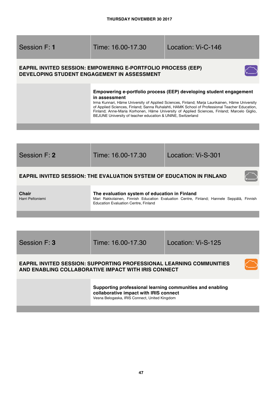Session F: **1** Time: 16.00-17.30 Location: Vi-C-146

# **EAPRIL INVITED SESSION: EMPOWERING E-PORTFOLIO PROCESS (EEP) DEVELOPING STUDENT ENGAGEMENT IN ASSESSMENT**



### **Empowering e-portfolio process (EEP) developing student engagement in assessment**

Irma Kunnari, Häme University of Applied Sciences, Finland; Marja Laurikainen, Häme University of Applied Sciences, Finland; Sanna Ruhalahti, HAMK School of Professional Teacher Education, Finland; Anne-Maria Korhonen, Häme University of Applied Sciences, Finland; Marcelo Giglio, BEJUNE University of teacher education & UNINE, Switzerland



Session F: **3** Time: 16.00-17.30 Location: Vi-S-125

# **EAPRIL INVITED SESSION: SUPPORTING PROFESSIONAL LEARNING COMMUNITIES AND ENABLING COLLABORATIVE IMPACT WITH IRIS CONNECT**

**Supporting professional learning communities and enabling collaborative impact with IRIS connect** 

Vesna Belogaska, IRIS Connect, United Kingdom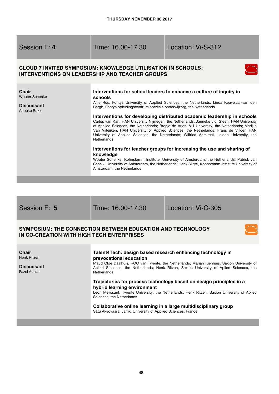Session F: **4** Time: 16.00-17.30 Location: Vi-S-312

# **CLOUD 7 INVITED SYMPOSIUM: KNOWLEDGE UTILISATION IN SCHOOLS: INTERVENTIONS ON LEADERSHIP AND TEACHER GROUPS**



| <b>Chair</b><br><b>Wouter Schenke</b><br><b>Discussant</b><br>Anouke Bakx | Interventions for school leaders to enhance a culture of inquiry in<br>schools<br>Anje Ros, Fontys University of Applied Sciences, the Netherlands; Linda Keuvelaar-van den<br>Bergh, Fontys opleidingscentrum speciale onderwijzorg, the Netherlands<br>Interventions for developing distributed academic leadership in schools<br>Carlos van Kan, HAN University Nijmegen, the Netherlands; Janneke v.d. Steen, HAN University<br>of Applied Sciences, the Netherlands; Bregje de Vries, VU University, the Netherlands; Marijke<br>Van Vijfeijken, HAN University of Applied Sciences, the Netherlands; Frans de Vijlder, HAN<br>University of Applied Sciences, the Netherlands; Wilfried Admiraal, Leiden University, the<br><b>Netherlands</b><br>Interventions for teacher groups for increasing the use and sharing of |
|---------------------------------------------------------------------------|--------------------------------------------------------------------------------------------------------------------------------------------------------------------------------------------------------------------------------------------------------------------------------------------------------------------------------------------------------------------------------------------------------------------------------------------------------------------------------------------------------------------------------------------------------------------------------------------------------------------------------------------------------------------------------------------------------------------------------------------------------------------------------------------------------------------------------|
|                                                                           | knowledge<br>Wouter Schenke, Kohnstamm Institute, University of Amsterdam, the Netherlands; Patrick van<br>Schaik, University of Amsterdam, the Netherlands; Henk Sligte, Kohnstamm Institute University of<br>Amsterdam, the Netherlands                                                                                                                                                                                                                                                                                                                                                                                                                                                                                                                                                                                      |

Session F: **5** Time: 16.00-17.30 Location: Vi-C-305

# **SYMPOSIUM: THE CONNECTION BETWEEN EDUCATION AND TECHNOLOGY IN CO-CREATION WITH HIGH TECH ENTERPRISES**

#### **Chair**  Henk Ritzen **Discussant** Fazel Ansari **Talent4Tech: design based research enhancing technology in prevocational education** Maud Olde Daalhuis, ROC van Twente, the Netherlands; Marian Kienhuis, Saxion University of Aplied Sciences, the Netherlands; Henk Ritzen, Saxion University of Aplied Sciences, the **Netherlands Trajectories for process technology based on design principles in a hybrid learning environment** Leon Melissant, Twente University, the Netherlands; Henk Ritzen, Saxion University of Aplied Sciences, the Netherlands **Collaborative online learning in a large multidisciplinary group** Satu Aksovaara, Jamk, University of Applied Sciences, France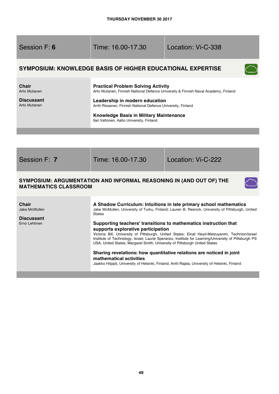| Session F: 6                                                             | Time: 16.00-17.30                                                                                                                                                                                                                                                                                                                                                                                                                                                                                                                                                                                                                                                                                                                                                                             | Location: Vi-C-338 |  |
|--------------------------------------------------------------------------|-----------------------------------------------------------------------------------------------------------------------------------------------------------------------------------------------------------------------------------------------------------------------------------------------------------------------------------------------------------------------------------------------------------------------------------------------------------------------------------------------------------------------------------------------------------------------------------------------------------------------------------------------------------------------------------------------------------------------------------------------------------------------------------------------|--------------------|--|
|                                                                          | <b>SYMPOSIUM: KNOWLEDGE BASIS OF HIGHER EDUCATIONAL EXPERTISE</b>                                                                                                                                                                                                                                                                                                                                                                                                                                                                                                                                                                                                                                                                                                                             |                    |  |
| <b>Chair</b><br>Arto Mutanen<br><b>Discussant</b><br><b>Arto Mutanen</b> | <b>Practical Problem Solving Activity</b><br>Arto Mutanen, Finnish National Defence University & Finnish Naval Academy, Finland<br>Leadership in modern education<br>Antti Rissanen, Finnish National Defence University, Finland<br>Knowledge Basis in Military Maintenance<br>Ilari Valtonen, Aalto University, Finland                                                                                                                                                                                                                                                                                                                                                                                                                                                                     |                    |  |
|                                                                          |                                                                                                                                                                                                                                                                                                                                                                                                                                                                                                                                                                                                                                                                                                                                                                                               |                    |  |
| Session F: 7                                                             | Time: 16.00-17.30                                                                                                                                                                                                                                                                                                                                                                                                                                                                                                                                                                                                                                                                                                                                                                             | Location: Vi-C-222 |  |
|                                                                          | SYMPOSIUM: ARGUMENTATION AND INFORMAL REASONING IN (AND OUT OF) THE<br><b>MATHEMATICS CLASSROOM</b>                                                                                                                                                                                                                                                                                                                                                                                                                                                                                                                                                                                                                                                                                           |                    |  |
| <b>Chair</b><br>Jake McMullen<br><b>Discussant</b><br>Erno Lehtinen      | A Shadow Curriculum: Intuitions in late primary school mathematics<br>Jake McMullen, University of Turku, Finland; Lauren B. Resnick, University of Pittsburgh, United<br><b>States</b><br>Supporting teachers' transitions to mathematics instruction that<br>supports explorative participation<br>Victoria Bill, University of Pittsburgh, United States; Einat Heyd-Metzuyanim, Technion/Israel<br>Institute of Technology, Israel; Laurie Speranzo, Institute for Learning/University of Pittsburgh PS<br>USA, United States; Margaret Smith, University of Pittsburgh United States<br>Sharing revelations: how quantitative relations are noticed in joint<br>mathematical activities<br>Jaakko Hilppö, University of Helsinki, Finland; Antti Rajala, University of Helsinki, Finland |                    |  |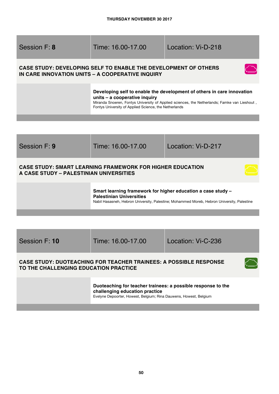Session F: **8** Time: 16.00-17.00 Location: Vi-D-218

# **CASE STUDY: DEVELOPING SELF TO ENABLE THE DEVELOPMENT OF OTHERS IN CARE INNOVATION UNITS – A COOPERATIVE INQUIRY**



### **Developing self to enable the development of others in care innovation units – a cooperative inquiry**

Miranda Snoeren, Fontys University of Applied sciences, the Netherlands; Famke van Lieshout , Fontys University of Applied Science, the Netherlands



Session F: **10** Time: 16.00-17.00 Location: Vi-C-236

# **CASE STUDY: DUOTEACHING FOR TEACHER TRAINEES: A POSSIBLE RESPONSE TO THE CHALLENGING EDUCATION PRACTICE**

**Duoteaching for teacher trainees: a possible response to the challenging education practice**  Evelyne Depoorter, Howest, Belgium; Rina Dauwens, Howest, Belgium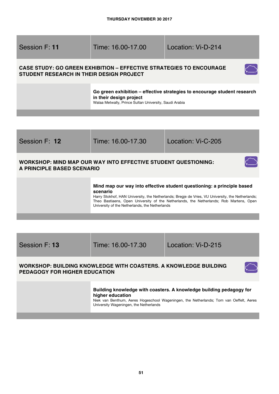

### **WORKSHOP: MIND MAP OUR WAY INTO EFFECTIVE STUDENT QUESTIONING: A PRINCIPLE BASED SCENARIO**



**Mind map our way into effective student questioning: a principle based scenario** 

Harry Stokhof, HAN University, the Netherlands; Bregje de Vries, VU University, the Netherlands; Theo Bastiaens, Open University of the Netherlands, the Netherlands; Rob Martens, Open University of the Netherlands, the Netherlands

Session F: **13** Time: 16.00-17.30 Location: Vi-D-215

# **WORKSHOP: BUILDING KNOWLEDGE WITH COASTERS. A KNOWLEDGE BUILDING PEDAGOGY FOR HIGHER EDUCATION**

**Building knowledge with coasters. A knowledge building pedagogy for higher education** 

Niek van Benthum, Aeres Hogeschool Wageningen, the Netherlands; Tom van Oeffelt, Aeres University Wageningen, the Netherlands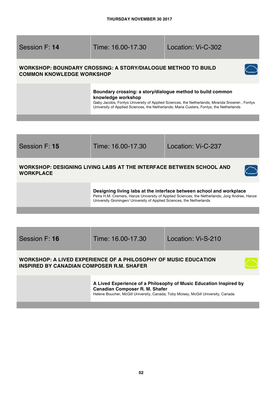Session F: **14** Time: 16.00-17.30 Location: Vi-C-302

# **WORKSHOP: BOUNDARY CROSSING: A STORY/DIALOGUE METHOD TO BUILD COMMON KNOWLEDGE WORKSHOP**



Gaby Jacobs, Fontys University of Applied Sciences, the Netherlands; Miranda Snoeren , Fontys University of Applied Sciences, the Netherlands; Maria Custers, Fontys, the Netherlands



# **WORKSHOP: A LIVED EXPERIENCE OF A PHILOSOPHY OF MUSIC EDUCATION INSPIRED BY CANADIAN COMPOSER R.M. SHAFER**

**A Lived Experience of a Philosophy of Music Education Inspired by Canadian Composer R. M. Shafer**  Helene Boucher, McGill University, Canada; Toby Moisey, McGill University, Canada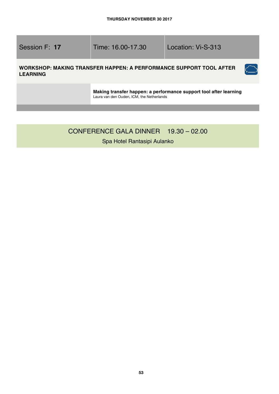Session F: **17** Time: 16.00-17.30 Location: Vi-S-313

 $\tilde{C}$ 

# **WORKSHOP: MAKING TRANSFER HAPPEN: A PERFORMANCE SUPPORT TOOL AFTER LEARNING**

**Making transfer happen: a performance support tool after learning**  Laura van den Ouden, ICM, the Netherlands

# CONFERENCE GALA DINNER 19.30 – 02.00

Spa Hotel Rantasipi Aulanko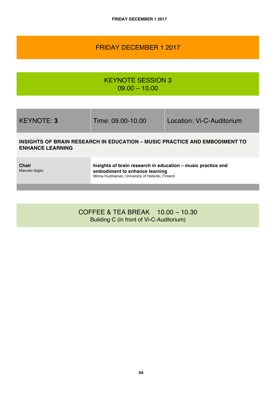# FRIDAY DECEMBER 1 2017

KEYNOTE SESSION 3  $09.00 - 10.00$ 

KEYNOTE: **3** Time: 09.00-10.00 Location: Vi-C-Auditorium

# **INSIGHTS OF BRAIN RESEARCH IN EDUCATION – MUSIC PRACTICE AND EMBODIMENT TO ENHANCE LEARNING**

**Chair** Marcelo Giglio **Insights of brain research in education – music practice and embodiment to enhance learning** Minna Huotilainen, University of Helsinki, Finland

COFFEE & TEA BREAK 10.00 – 10.30 Building C (in front of Vi-C-Auditorium)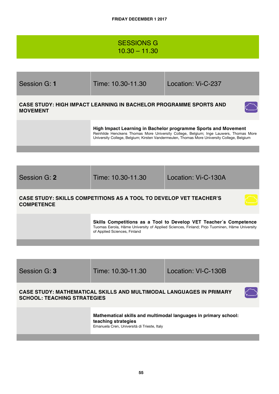# SESSIONS G 10.30 – 11.30

| Session G: 1                                                                                              | Time: 10.30-11.30                                                         | Location: Vi-C-237                                                                                                                                                                                                                                    |
|-----------------------------------------------------------------------------------------------------------|---------------------------------------------------------------------------|-------------------------------------------------------------------------------------------------------------------------------------------------------------------------------------------------------------------------------------------------------|
| <b>MOVEMENT</b>                                                                                           | <b>CASE STUDY: HIGH IMPACT LEARNING IN BACHELOR PROGRAMME SPORTS AND</b>  |                                                                                                                                                                                                                                                       |
|                                                                                                           |                                                                           | High Impact Learning in Bachelor programme Sports and Movement<br>Reinhilde Henckens Thomas More University College, Belgium; Inge Lauwers, Thomas More<br>University College, Belgium; Kirsten Vandermeulen, Thomas More University College, Belgium |
|                                                                                                           |                                                                           |                                                                                                                                                                                                                                                       |
| Session G: 2                                                                                              | Time: 10.30-11.30                                                         | Location: Vi-C-130A                                                                                                                                                                                                                                   |
| <b>COMPETENCE</b>                                                                                         | <b>CASE STUDY: SKILLS COMPETITIONS AS A TOOL TO DEVELOP VET TEACHER'S</b> |                                                                                                                                                                                                                                                       |
|                                                                                                           | of Applied Sciences, Finland                                              | Skills Competitions as a Tool to Develop VET Teacher's Competence<br>Tuomas Eerola, Häme University of Applied Sciences, Finland; Pirjo Tuominen, Häme University                                                                                     |
|                                                                                                           |                                                                           |                                                                                                                                                                                                                                                       |
| Session G: 3                                                                                              | Time: 10.30-11.30                                                         | Location: VI-C-130B                                                                                                                                                                                                                                   |
| CASE STUDY: MATHEMATICAL SKILLS AND MULTIMODAL LANGUAGES IN PRIMARY<br><b>SCHOOL: TEACHING STRATEGIES</b> |                                                                           |                                                                                                                                                                                                                                                       |
|                                                                                                           | teaching strategies<br>Emanuela Cren, Università di Trieste, Italy        | Mathematical skills and multimodal languages in primary school:                                                                                                                                                                                       |
|                                                                                                           |                                                                           |                                                                                                                                                                                                                                                       |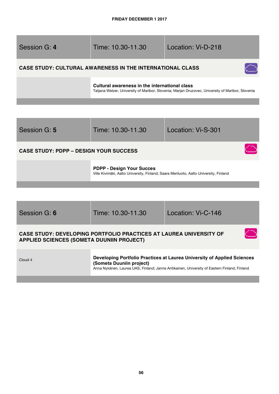| Session G: 4                                  | Time: 10.30-11.30                                                                                                                                  | Location: Vi-D-218 |
|-----------------------------------------------|----------------------------------------------------------------------------------------------------------------------------------------------------|--------------------|
|                                               | <b>CASE STUDY: CULTURAL AWARENESS IN THE INTERNATIONAL CLASS</b>                                                                                   |                    |
|                                               | Cultural awareness in the international class<br>Tatjana Welzer, University of Maribor, Slovenia; Marjan Druzovec, University of Maribor, Slovenia |                    |
|                                               |                                                                                                                                                    |                    |
|                                               |                                                                                                                                                    |                    |
| Session G: 5                                  | Time: 10.30-11.30                                                                                                                                  | Location: Vi-S-301 |
| <b>CASE STUDY: PDPP - DESIGN YOUR SUCCESS</b> |                                                                                                                                                    |                    |
|                                               | <b>PDPP - Design Your Succes</b><br>Ville Kivimäki, Aalto University, Finland; Saara Meriluoto, Aalto University, Finland                          |                    |
|                                               |                                                                                                                                                    |                    |
|                                               |                                                                                                                                                    |                    |
| Session G: 6                                  | Time: 10.30-11.30                                                                                                                                  | Location: Vi-C-146 |

### **CASE STUDY: DEVELOPING PORTFOLIO PRACTICES AT LAUREA UNIVERSITY OF APPLIED SCIENCES (SOMETA DUUNIIN PROJECT)**

Cloud 4 **Developing Portfolio Practices at Laurea University of Applied Sciences (Someta Duuniin project)** Anna Nykänen, Laurea UAS, Finland; Janne Antikainen, University of Eastern Finland, Finland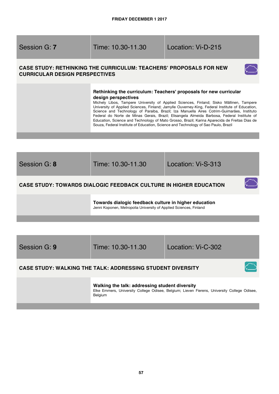Session G: **7** Time: 10.30-11.30 Location: Vi-D-215

# **CASE STUDY: RETHINKING THE CURRICULUM: TEACHERS' PROPOSALS FOR NEW CURRICULAR DESIGN PERSPECTIVES**



### **Rethinking the curriculum: Teachers' proposals for new curricular design perspectives**

Michely Libos, Tampere University of Applied Sciences, Finland; Sisko Mällinen, Tampere University of Applied Sciences, Finland; Jamylle Ouverney-King, Federal Institute of Education, Science and Technology of Paraiba, Brazil; Iza Manuella Aires Cotrim-Guimarães, Instituto Federal do Norte de Minas Gerais, Brazil; Elisangela Almeida Barbosa, Federal Institute of Education, Science and Technology of Mato Grosso, Brazil; Karina Aparecida de Freitas Dias de Souza, Federal Institute of Education, Science and Technology of Sao Paulo, Brazil

| Session G: 8 | Time: 10.30-11.30                                                                                                          | Location: Vi-S-313 |
|--------------|----------------------------------------------------------------------------------------------------------------------------|--------------------|
|              | <b>CASE STUDY: TOWARDS DIALOGIC FEEDBACK CULTURE IN HIGHER EDUCATION</b>                                                   |                    |
|              | Towards dialogic feedback culture in higher education<br>Jenni Koponen, Metropolia University of Applied Sciences, Finland |                    |

| Session G: 9 | Time: 10.30-11.30                                                 | Location: Vi-C-302 |  |
|--------------|-------------------------------------------------------------------|--------------------|--|
|              | <b>CASE STUDY: WALKING THE TALK: ADDRESSING STUDENT DIVERSITY</b> |                    |  |

**Walking the talk: addressing student diversity**  Elke Emmers, University College Odisee, Belgium; Lieven Fierens, University College Odisee, Belgium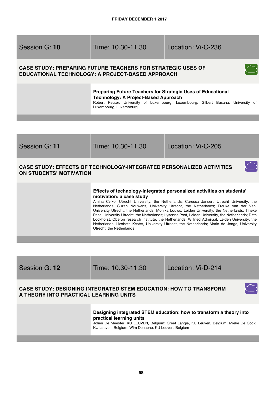# Session G: **10** Time: 10.30-11.30 Location: Vi-C-236

# **CASE STUDY: PREPARING FUTURE TEACHERS FOR STRATEGIC USES OF EDUCATIONAL TECHNOLOGY: A PROJECT-BASED APPROACH**



 $\subset$ 

**Preparing Future Teachers for Strategic Uses of Educational Technology: A Project-Based Approach**

Robert Reuter, University of Luxembourg, Luxembourg; Gilbert Busana, University of Luxembourg, Luxembourg

| Session G: 11                  | Time: 10.30-11.30                                                                                                                                                                                                                                                                                                                                                                                                                                                                                                                                                                                                                                                                                                              | Location: Vi-C-205 |
|--------------------------------|--------------------------------------------------------------------------------------------------------------------------------------------------------------------------------------------------------------------------------------------------------------------------------------------------------------------------------------------------------------------------------------------------------------------------------------------------------------------------------------------------------------------------------------------------------------------------------------------------------------------------------------------------------------------------------------------------------------------------------|--------------------|
| <b>ON STUDENTS' MOTIVATION</b> | <b>CASE STUDY: EFFECTS OF TECHNOLOGY-INTEGRATED PERSONALIZED ACTIVITIES</b>                                                                                                                                                                                                                                                                                                                                                                                                                                                                                                                                                                                                                                                    |                    |
|                                | Effects of technology-integrated personalized activities on students'<br>motivation: a case study<br>Amina Cviko, Utrecht University, the Netherlands; Caressa Jansen, Utrecht University, the<br>Netherlands; Suzan Nouwens, University Utrecht, the Netherlands; Frauke van der Ven,<br>University Utrecht, the Netherlands; Monika Louws, Leiden University, the Netherlands; Tineke<br>Paas, University Utrecht, the Netherlands; Lysanne Post, Leiden University, the Netherlands; Ditte<br>Lockhorst, Oberon research institute, the Netherlands; Wilfried Admiraal, Leiden University, the<br>Netherlands; Liesbeth Kester, University Utrecht, the Netherlands; Mario de Jonge, University<br>Utrecht, the Netherlands |                    |

| Session G: 12 |  |  |
|---------------|--|--|
|---------------|--|--|

Session G: **12** Time: 10.30-11.30 Location: Vi-D-214

# **CASE STUDY: DESIGNING INTEGRATED STEM EDUCATION: HOW TO TRANSFORM A THEORY INTO PRACTICAL LEARNING UNITS**

### **Designing integrated STEM education: how to transform a theory into practical learning units**

Jolien De Meester, KU LEUVEN, Belgium; Greet Langie, KU Leuven, Belgium; Mieke De Cock, KU Leuven, Belgium; Wim Dehaene, KU Leuven, Belgium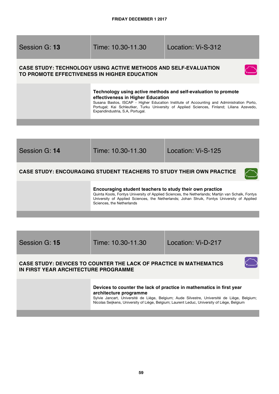Session G: **13** Time: 10.30-11.30 Location: Vi-S-312

# **CASE STUDY: TECHNOLOGY USING ACTIVE METHODS AND SELF-EVALUATION TO PROMOTE EFFECTIVENESS IN HIGHER EDUCATION**



### **Technology using active methods and self-evaluation to promote effectiveness in Higher Education**

Susana Bastos, ISCAP - Higher Education Institute of Accounting and Administration Porto, Portugal; Kai Schleutker, Turku University of Applied Sciences, Finland; Liliana Azevedo, Expandindustria, S.A, Portugal.



Session G: **15** Time: 10.30-11.30 Location: Vi-D-217

### **CASE STUDY: DEVICES TO COUNTER THE LACK OF PRACTICE IN MATHEMATICS IN FIRST YEAR ARCHITECTURE PROGRAMME**

**Devices to counter the lack of practice in mathematics in first year architecture programme** 

Sylvie Jancart, Université de Liège, Belgium; Aude Silvestre, Université de Liège, Belgium; Nicolas Seijkens, University of Liège, Belgium; Laurent Leduc, University of Liège, Belgium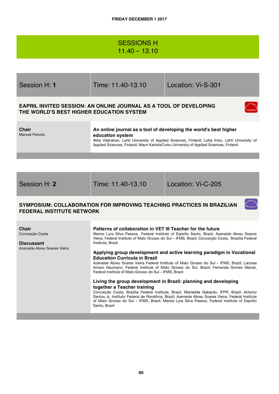# SESSIONS H 11.40 – 13.10

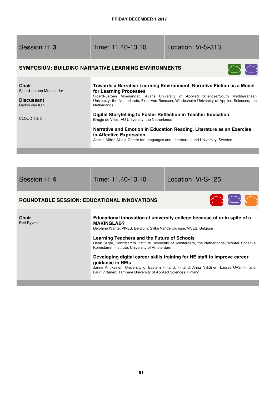**COLLEGE** 

and the company of the

a.

| Session H: 3                                                                                  | Time: 11.40-13.10                                                                                                                                                                                                                                                                 | Location: Vi-S-313                                                                                                                                                                                                                                                                                                                     |
|-----------------------------------------------------------------------------------------------|-----------------------------------------------------------------------------------------------------------------------------------------------------------------------------------------------------------------------------------------------------------------------------------|----------------------------------------------------------------------------------------------------------------------------------------------------------------------------------------------------------------------------------------------------------------------------------------------------------------------------------------|
|                                                                                               | <b>SYMPOSIUM: BUILDING NARRATIVE LEARNING ENVIRONMENTS</b>                                                                                                                                                                                                                        |                                                                                                                                                                                                                                                                                                                                        |
| <b>Chair</b><br>Sjoerd-Jeroen Moenandar<br><b>Discussant</b><br>Carlos van Kan<br>CLOUD 1 & 3 | for Learning Processes<br><b>Netherlands</b><br>Digital Storytelling to Foster Reflection in Teacher Education<br>Bregje de Vries, VU University, the Netherlands<br>in Affective Expression<br>Annika Mörte Alling, Centre for Languages and Literature, Lund University, Sweden | Towards a Narrative Learning Environment. Narrative Fiction as a Model<br>Sjoerd-Jeroen Moenandar, Avans University of Applied Sciences/South Mediterranean<br>University, the Netherlands; Floor van Renssen, Windesheim University of Applied Sciences, the<br>Narrative and Emotion in Education Reading. Literature as an Exercise |
|                                                                                               |                                                                                                                                                                                                                                                                                   |                                                                                                                                                                                                                                                                                                                                        |

| Session H: 4                                       | Time: 11.40-13.10                                                                                                                                                                                                                                                              | Location: Vi-S-125                                                                                                                                                                                                                                                                                                                                 |
|----------------------------------------------------|--------------------------------------------------------------------------------------------------------------------------------------------------------------------------------------------------------------------------------------------------------------------------------|----------------------------------------------------------------------------------------------------------------------------------------------------------------------------------------------------------------------------------------------------------------------------------------------------------------------------------------------------|
| <b>ROUNDTABLE SESSION: EDUCATIONAL INNOVATIONS</b> |                                                                                                                                                                                                                                                                                | $\bigcirc$ $\bigcirc$                                                                                                                                                                                                                                                                                                                              |
| Chair<br>Essi Ryymin                               | <b>MAKINGLAB?</b><br>Delphine Wante, VIVES, Belgium; Sylke Vandercruysse, VIVES, Belgium<br>Learning Teachers and the Future of Schools<br>Kohnstamm Institute, University of Amsterdam<br>quidance in HEIs<br>Lauri Virtanen, Tampere University of Applied Sciences, Finland | Educational innovation at university college because of or in spite of a<br>Henk Sligte, Kohnstamm Institute University of Amsterdam, the Netherlands; Wouter Schenke,<br>Developing digital career skills training for HE staff to improve career<br>Janne Antikainen, University of Eastern Finland, Finland; Anna Nykänen, Laurea UAS, Finland; |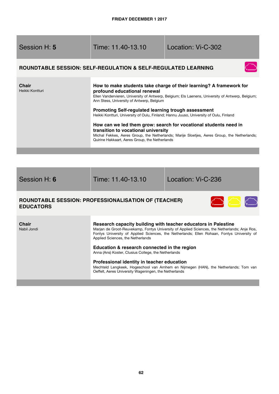| Session H: 5                                                                    | Time: 11.40-13.10                                                                                                                                                                                                                                                                                                                                                                                                                                                                                                                                                                                               | Location: Vi-C-302                                                                                                                                                                                                                                                                 |
|---------------------------------------------------------------------------------|-----------------------------------------------------------------------------------------------------------------------------------------------------------------------------------------------------------------------------------------------------------------------------------------------------------------------------------------------------------------------------------------------------------------------------------------------------------------------------------------------------------------------------------------------------------------------------------------------------------------|------------------------------------------------------------------------------------------------------------------------------------------------------------------------------------------------------------------------------------------------------------------------------------|
|                                                                                 | <b>ROUNDTABLE SESSION: SELF-REGULATION &amp; SELF-REGULATED LEARNING</b>                                                                                                                                                                                                                                                                                                                                                                                                                                                                                                                                        |                                                                                                                                                                                                                                                                                    |
| <b>Chair</b><br>Heikki Kontturi                                                 | How to make students take charge of their learning? A framework for<br>profound educational renewal<br>Ellen Vandervieren, University of Antwerp, Belgium; Els Laenens, University of Antwerp, Belgium;<br>Ann Stess, University of Antwerp, Belgium<br>Promoting Self-regulated learning trough assessment<br>Heikki Kontturi, University of Oulu, Finland; Hannu Juuso, University of Oulu, Finland<br>How can we led them grow: search for vocational students need in<br>transition to vocational university<br>Michal Fekkes, Aeres Group, the Netherlands; Marije Sloetjes, Aeres Group, the Netherlands; |                                                                                                                                                                                                                                                                                    |
|                                                                                 | Quirine Hakkaart, Aeres Group, the Netherlands                                                                                                                                                                                                                                                                                                                                                                                                                                                                                                                                                                  |                                                                                                                                                                                                                                                                                    |
|                                                                                 |                                                                                                                                                                                                                                                                                                                                                                                                                                                                                                                                                                                                                 |                                                                                                                                                                                                                                                                                    |
| Session H: 6                                                                    | Time: 11.40-13.10                                                                                                                                                                                                                                                                                                                                                                                                                                                                                                                                                                                               | Location: Vi-C-236                                                                                                                                                                                                                                                                 |
| <b>ROUNDTABLE SESSION: PROFESSIONALISATION OF (TEACHER)</b><br><b>EDUCATORS</b> |                                                                                                                                                                                                                                                                                                                                                                                                                                                                                                                                                                                                                 |                                                                                                                                                                                                                                                                                    |
| Chair<br>Nabil Jondi                                                            | Research capacity building with teacher educators in Palestine<br>Applied Sciences, the Netherlands<br>Education & research connected in the region<br>Anna (Ans) Koster, Clusius College, the Netherlands<br>Professional identity in teacher education                                                                                                                                                                                                                                                                                                                                                        | Marian de Groot-Reuvekamp, Fontys University of Applied Sciences, the Netherlands; Anje Ros,<br>Fontys University of Applied Sciences, the Netherlands; Ellen Rohaan, Fontys University of<br>Mechteld Lengkeek, Hogeschool van Arnhem en Nijmegen (HAN), the Netherlands; Tom van |

Oeffelt, Aeres University Wageningen, the Netherlands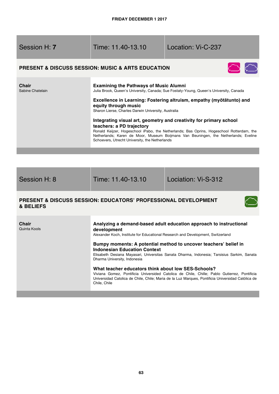| <b>PRESENT &amp; DISCUSS SESSION: MUSIC &amp; ARTS EDUCATION</b><br>Chair<br><b>Examining the Pathways of Music Alumni</b><br>Sabine Chatelain<br>Julia Brook, Queen's University, Canada; Sue Fostaty-Young, Queen's University, Canada<br>Excellence in Learning: Fostering altruism, empathy (myötätunto) and<br>equity through music | Session H: 7          | Time: 11.40-13.10                                                                                                                                                                                                                      | Location: Vi-C-237 |  |
|------------------------------------------------------------------------------------------------------------------------------------------------------------------------------------------------------------------------------------------------------------------------------------------------------------------------------------------|-----------------------|----------------------------------------------------------------------------------------------------------------------------------------------------------------------------------------------------------------------------------------|--------------------|--|
|                                                                                                                                                                                                                                                                                                                                          | $\bigcirc$ $\bigcirc$ |                                                                                                                                                                                                                                        |                    |  |
| Integrating visual art, geometry and creativity for primary school<br>teachers: a PD trajectory<br>Schoevers, Utrecht University, the Netherlands                                                                                                                                                                                        |                       | Sharon Lierse, Charles Darwin University, Australia<br>Ronald Keijzer, Hogeschool iPabo, the Netherlands; Bas Oprins, Hogeschool Rotterdam, the<br>Netherlands; Karen de Moor, Museum Boijmans Van Beuningen, the Netherlands; Eveline |                    |  |

Session H: 8 Time: 11.40-13.10 Lociation: Vi-S-312

 $\left(\begin{array}{c}\right)$ 

# **PRESENT & DISCUSS SESSION: EDUCATORS' PROFESSIONAL DEVELOPMENT & BELIEFS**

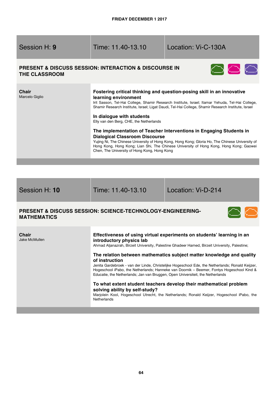Session H: **9** Time: 11.40-13.10 Location: Vi-C-130A

# **PRESENT & DISCUSS SESSION: INTERACTION & DISCOURSE IN THE CLASSROOM**



| <b>Chair</b><br>Marcelo Giglio | Fostering critical thinking and question-posing skill in an innovative<br>learning environment<br>Irit Sasson, Tel-Hai College, Shamir Research Institute, Israel; Itamar Yehuda, Tel-Hai College,<br>Shamir Research Institute, Israel; Ligat Daudi, Tel-Hai College, Shamir Research Institute, Israel<br>In dialogue with students<br>Elly van den Berg, CHE, the Netherlands |
|--------------------------------|----------------------------------------------------------------------------------------------------------------------------------------------------------------------------------------------------------------------------------------------------------------------------------------------------------------------------------------------------------------------------------|
|                                | The implementation of Teacher Interventions in Engaging Students in<br><b>Dialogical Classroom Discourse</b><br>Yujing Ni, The Chinese University of Hong Kong, Hong Kong; Gloria Ho, The Chinese University of<br>Hong Kong, Hong Kong; Lian Shi, The Chinese University of Hong Kong, Hong Kong; Gaowei<br>Chen, The University of Hong Kong, Hong Kong                        |

| Session H: 10                                                                               | Time: 11.40-13.10                                                                                                                                                                                                                                                                                                                                                                                                                                                                                                                                                                 | Location: Vi-D-214 |  |  |
|---------------------------------------------------------------------------------------------|-----------------------------------------------------------------------------------------------------------------------------------------------------------------------------------------------------------------------------------------------------------------------------------------------------------------------------------------------------------------------------------------------------------------------------------------------------------------------------------------------------------------------------------------------------------------------------------|--------------------|--|--|
| <b>PRESENT &amp; DISCUSS SESSION: SCIENCE-TECHNOLOGY-ENGINEERING-</b><br><b>MATHEMATICS</b> |                                                                                                                                                                                                                                                                                                                                                                                                                                                                                                                                                                                   |                    |  |  |
| <b>Chair</b><br>Jake McMullen                                                               | Effectiveness of using virtual experiments on students' learning in an<br>introductory physics lab<br>Ahmad Aljanazrah, Birzeit University, Palestine Ghadeer Hamed, Birzeit University, Palestine;<br>The relation between mathematics subject matter knowledge and quality<br>of instruction<br>Jenita Gardebroek - van der Linde, Christelijke Hogeschool Ede, the Netherlands; Ronald Keijzer,<br>Hogeschool iPabo, the Netherlands; Hanneke van Doornik – Beemer, Fontys Hogeschool Kind &<br>Educatie, the Netherlands; Jan van Bruggen, Open Universiteit, the Netherlands |                    |  |  |

### **To what extent student teachers develop their mathematical problem solving ability by self-study?**

Marjolein Kool, Hogeschool Utrecht, the Netherlands; Ronald Keijzer, Hogeschool iPabo, the **Netherlands**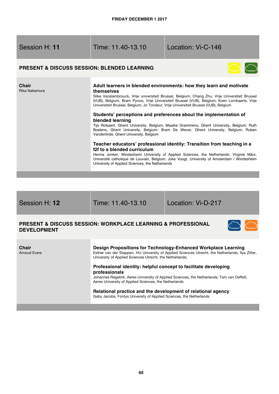# Time: 11.40-13.10 Location: Vi-C-146

# **PRESENT & DISCUSS SESSION: BLENDED LEARNING**



| Chair<br>Rika Nakamura | Adult learners in blended environments: how they learn and motivate<br>themselves<br>Silke Vanslambrouck, Vrije universiteit Brussel, Belgium; Chang Zhu, Vrije Universiteit Brussel<br>(VUB), Belgium; Bram Pynoo, Vrije Universiteit Brussel (VUB), Belgium; Koen Lombaerts, Vrije<br>Universiteit Brussel, Belgium; Jo Tondeur, Vrije Universiteit Brussel (VUB), Belgium |
|------------------------|------------------------------------------------------------------------------------------------------------------------------------------------------------------------------------------------------------------------------------------------------------------------------------------------------------------------------------------------------------------------------|
|                        | Students' perceptions and preferences about the implementation of<br>blended learning<br>Tijs Rotsaert, Ghent University, Belgium; Maaike Grammens, Ghent University, Belgium; Ruth<br>Boelens, Ghent University, Belgium; Bram De Wever, Ghent University, Belgium; Ruben<br>Vanderlinde, Ghent University, Belgium                                                         |
|                        | Teacher educators' professional identity: Transition from teaching in a<br>f2f to a blended curriculum<br>Herma Jonker, Windesheim University of Applied Sciences, the Netherlands; Virginie März,<br>Université catholique de Louvain, Belgium; Joke Voogt, University of Amsterdam / Windesheim<br>University of Applied Sciences, the Netherlands                         |

Session H: **12** Time: 11.40-13.10 Location: Vi-D-217

# **PRESENT & DISCUSS SESSION: WORKPLACE LEARNING & PROFESSIONAL DEVELOPMENT**



| <b>Chair</b><br><b>Arnoud Evers</b> | Design Propositions for Technology-Enhanced Workplace Learning<br>Esther van der Stappen, HU University of Applied Sciences Utrecht, the Netherlands; Ilya Zitter,<br>University of Applied Sciences Utrecht, the Netherlands;          |
|-------------------------------------|-----------------------------------------------------------------------------------------------------------------------------------------------------------------------------------------------------------------------------------------|
|                                     | Professional identity: helpful concept to facilitate developing<br>professionals<br>Johannes Regelink, Aeres University of Applied Sciences, the Netherlands; Tom van Oeffelt,<br>Aeres University of Applied Sciences, the Netherlands |
|                                     | Relational practice and the development of relational agency<br>Gaby Jacobs, Fontys University of Applied Sciences, the Netherlands                                                                                                     |